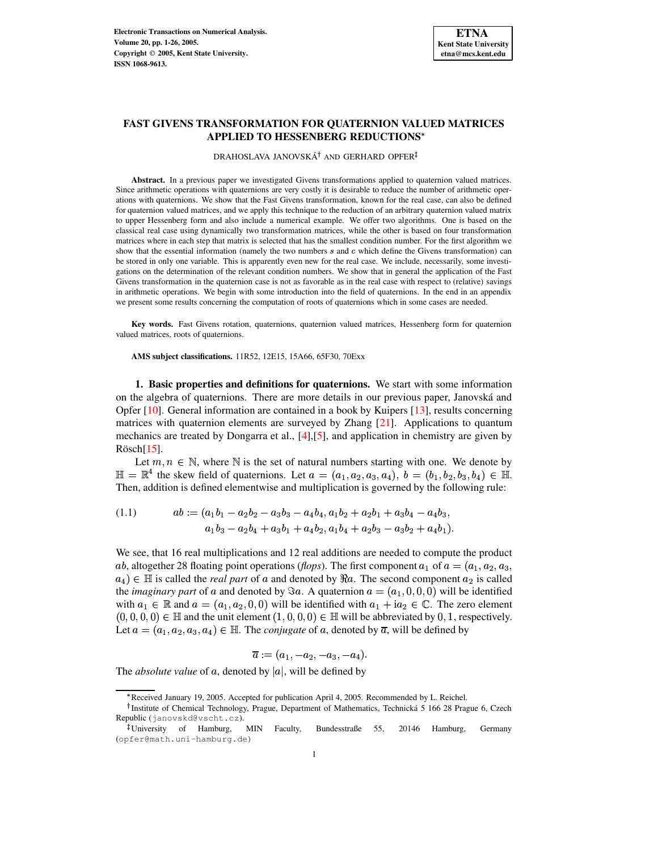# **FAST GIVENS TRANSFORMATION FOR QUATERNION VALUED MATRICES APPLIED TO HESSENBERG REDUCTIONS**

# DRAHOSLAVA JANOVSKÁ $^\dagger$  and GERHARD OPFER

**Abstract.** In a previous paper we investigated Givens transformations applied to quaternion valued matrices. Since arithmetic operations with quaternions are very costly it is desirable to reduce the number of arithmetic operations with quaternions. We show that the Fast Givens transformation, known for the real case, can also be defined for quaternion valued matrices, and we apply this technique to the reduction of an arbitrary quaternion valued matrix to upper Hessenberg form and also include a numerical example. We offer two algorithms. One is based on the classical real case using dynamically two transformation matrices, while the other is based on four transformation matrices where in each step that matrix is selected that has the smallest condition number. For the first algorithm we show that the essential information (namely the two numbers  $s$  and  $c$  which define the Givens transformation) can be stored in only one variable. This is apparently even new for the real case. We include, necessarily, some investigations on the determination of the relevant condition numbers. We show that in general the application of the Fast Givens transformation in the quaternion case is not as favorable as in the real case with respect to (relative) savings in arithmetic operations. We begin with some introduction into the field of quaternions. In the end in an appendix we present some results concerning the computation of roots of quaternions which in some cases are needed.

**Key words.** Fast Givens rotation, quaternions, quaternion valued matrices, Hessenberg form for quaternion valued matrices, roots of quaternions.

**AMS subject classifications.** 11R52, 12E15, 15A66, 65F30, 70Exx

**1. Basic properties and definitions for quaternions.** We start with some information on the algebra of quaternions. There are more details in our previous paper, Janovska´ and Opfer [\[10\]](#page-24-0). General information are contained in a book by Kuipers [\[13\]](#page-25-0), results concerning matrices with quaternion elements are surveyed by Zhang  $[21]$ . Applications to quantum mechanics are treated by Dongarra et al., [\[4\]](#page-24-1),[\[5\]](#page-24-2), and application in chemistry are given by  $R\ddot{o}$ sch $[15]$  $[15]$ .

Let  $m, n \in \mathbb{N}$ , where  $\mathbb N$  is the set of natural numbers starting with one. We denote by  $\mathbb{H} = \mathbb{R}^4$  the skew field of quaternions. Let  $a = (a_1, a_2, a_3, a_4), b = (b_1, b_2, b_3, b_4) \in \mathbb{H}$ . Then, addition is defined elementwise and multiplication is governed by the following rule:

<span id="page-0-0"></span>(1.1) 
$$
ab := (a_1b_1 - a_2b_2 - a_3b_3 - a_4b_4, a_1b_2 + a_2b_1 + a_3b_4 - a_4b_3, a_1b_3 - a_2b_4 + a_3b_1 + a_4b_2, a_1b_4 + a_2b_3 - a_3b_2 + a_4b_1).
$$

We see, that 16 real multiplications and 12 real additions are needed to compute the product *ab*, altogether 28 floating point operations (*flops*). The first component  $a_1$  of  $a = (a_1, a_2, a_3, a_4)$  $a_4$ )  $\in \mathbb{H}$  is called the *real part* of a and denoted by  $\Re a$ . The second component  $a_2$  is called the *imaginary* part of a and denoted by  $\Im a$ . A quaternion  $a = (a_1, 0, 0, 0)$  will be identified with  $a_1 \in \mathbb{R}$  and  $a = (a_1, a_2, 0, 0)$  will be identified with  $a_1 + ia_2 \in \mathbb{C}$ . The zero element  $(0,0,0,0) \in \mathbb{H}$  and the unit element  $(1,0,0,0) \in \mathbb{H}$  will be abbreviated by 0, 1, respectively. Let  $a = (a_1, a_2, a_3, a_4) \in \mathbb{H}$ . The *conjugate* of a, denoted by  $\overline{a}$ , will be defined by

$$
\overline{a}:=(a_1,-a_2,-a_3,-a_4).
$$

The *absolute* value of a, denoted by  $|a|$ , will be defined by

<sup>\*</sup> Received January 19, 2005. Accepted for publication April 4, 2005. Recommended by L. Reichel.

<sup>&</sup>lt;sup>†</sup> Institute of Chemical Technology, Prague, Department of Mathematics, Technická 5 166 28 Prague 6, Czech Republic (janovskd@vscht.cz).

<sup>-</sup> University of Hamburg, MIN Faculty, Bundesstraße 55, 20146 Hamburg, Germany (opfer@math.uni-hamburg.de)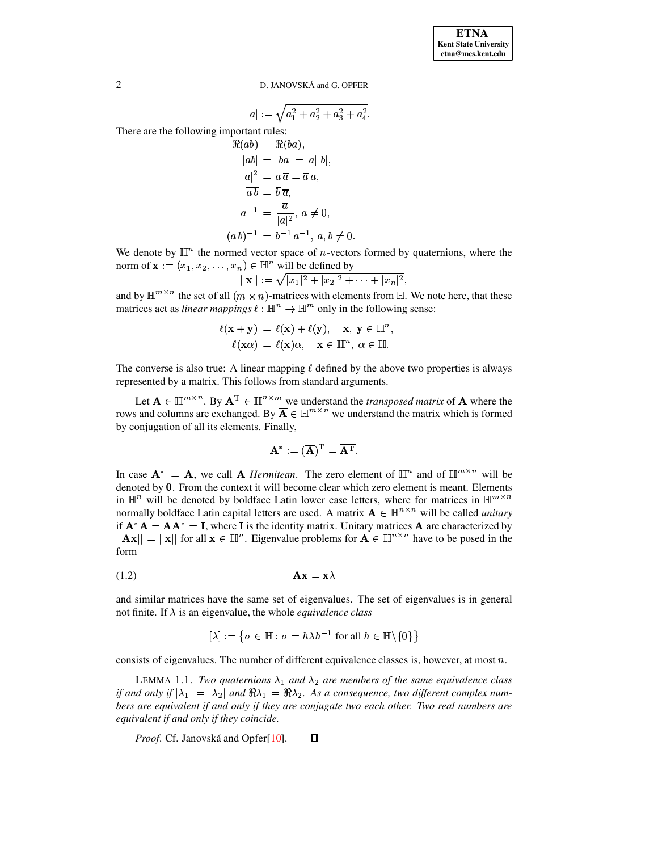**ETNA Kent State University etna@mcs.kent.edu**

2 D. JANOVSKÁ and G. OPFER

$$
|a|:=\sqrt{a_1^2+a_2^2+a_3^2+a_4^2}.
$$

There are the following important rules:

$$
\Re(ab) = \Re(ba),
$$
  
\n
$$
|ab| = |ba| = |a||b|,
$$
  
\n
$$
|a|^2 = a \overline{a} = \overline{a} a,
$$
  
\n
$$
\overline{a b} = \overline{b} \overline{a},
$$
  
\n
$$
a^{-1} = \frac{\overline{a}}{|a|^2}, a \neq 0,
$$
  
\n
$$
(a b)^{-1} = b^{-1} a^{-1}, a, b \neq 0.
$$

We denote by  $\mathbb{H}^n$  the normed vector space of *n*-vectors formed by quaternions, where the norm of  $\mathbf{x} := (x_1, x_2, \ldots, x_n) \in \mathbb{H}^n$  will be defined by

$$
||\mathbf{x}|| := \sqrt{|x_1|^2 + |x_2|^2 + \cdots + |x_n|^2},
$$

and by  $\mathbb{H}^{m \times n}$  the set of all  $(m \times n)$ -matrices with elements from  $\mathbb{H}$ . We note here, that these matrices act as *linear mappings*  $\ell : \mathbb{H}^n \to \mathbb{H}^m$  only in the following sense:

$$
\ell(\mathbf{x} + \mathbf{y}) = \ell(\mathbf{x}) + \ell(\mathbf{y}), \quad \mathbf{x}, \mathbf{y} \in \mathbb{H}^n,
$$
  

$$
\ell(\mathbf{x}\alpha) = \ell(\mathbf{x})\alpha, \quad \mathbf{x} \in \mathbb{H}^n, \alpha \in \mathbb{H}.
$$

The converse is also true: A linear mapping  $\ell$  defined by the above two properties is always represented by a matrix. This follows from standard arguments.

Let  $A \in \mathbb{H}^{m \times n}$ . By  $A^T \in \mathbb{H}^{n \times m}$  we understand the *transposed matrix* of A where the rows and columns are exchanged. By  $A \in \mathbb{H}^{m \times n}$  we understand the matrix which is formed by conjugation of all its elements. Finally,

$$
\mathbf{A}^* := (\overline{\mathbf{A}})^{\mathrm{T}} = \overline{\mathbf{A}^{\mathrm{T}}}.
$$

In case  $A^* = A$ , we call A *Hermitean*. The zero element of  $\mathbb{H}^n$  and of  $\mathbb{H}^{m \times n}$  will be denoted by 0. From the context it will become clear which zero element is meant. Elements in  $\mathbb{H}^n$  will be denoted by boldface Latin lower case letters, where for matrices in  $\mathbb{H}^{m \times n}$ normally boldface Latin capital letters are used. A matrix  $A \in \mathbb{H}^{n \times n}$  will be called *unitary* if  $A^*A = AA^* = I$ , where I is the identity matrix. Unitary matrices A are characterized by  $||Ax|| = ||x||$  for all  $x \in \mathbb{H}^n$ . Eigenvalue problems for  $A \in \mathbb{H}^{n \times n}$  have to be posed in the form

$$
Ax = x\lambda
$$

and similar matrices have the same set of eigenvalues. The set of eigenvalues is in general not finite. If  $\lambda$  is an eigenvalue, the whole *equivalence class* 

$$
[\lambda] := \{ \sigma \in \mathbb{H} : \sigma = h\lambda h^{-1} \text{ for all } h \in \mathbb{H} \setminus \{0\} \}
$$

consists of eigenvalues. The number of different equivalence classes is, however, at most  $n$ .

LEMMA 1.1. *Two quaternions*  $\lambda_1$  *and*  $\lambda_2$  *are members of the same equivalence class if* and only if  $|\lambda_1| = |\lambda_2|$  and  $\Re \lambda_1 = \Re \lambda_2$ . As a consequence, two different complex num*bers are equivalent if and only if they are conjugate two each other. Two real numbers are equivalent if and only if they coincide.*

*Proof.* Cf. Janovská and Opfer[\[10\]](#page-24-0).  $\Box$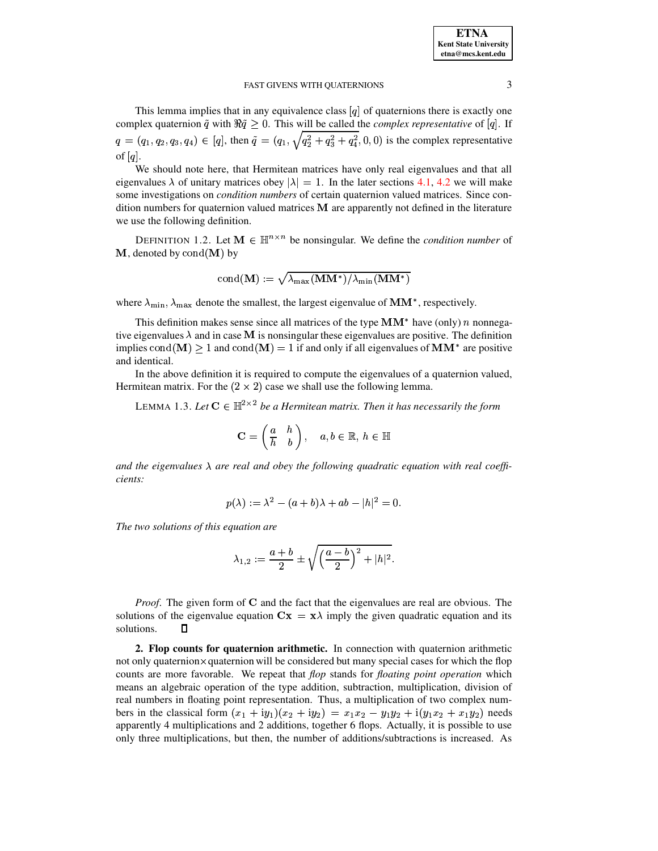This lemma implies that in any equivalence class  $[q]$  of quaternions there is exactly one complex quaternion  $\tilde{q}$  with  $\Re \tilde{q} \geq 0$ . This will be called the *complex representative* of [q]. If  $q = (q_1, q_2, q_3, q_4) \in [q]$ , then  $\tilde{q} = (q_1, \sqrt{q_2^2 + q_3^2 + q_4^2}, 0, 0)$  is the complex representative of  $[q]$ .

We should note here, that Hermitean matrices have only real eigenvalues and that all eigenvalues  $\lambda$  of unitary matrices obey  $|\lambda| = 1$ . In the later sections [4.1,](#page-6-0) [4.2](#page-11-0) we will make some investigations on *condition numbers* of certain quaternion valued matrices. Since condition numbers for quaternion valued matrices  **are apparently not defined in the literature** we use the following definition.

<span id="page-2-1"></span>DEFINITION 1.2. Let  $M \in \mathbb{H}^{n \times n}$  be nonsingular. We define the *condition number* of  $M$ , denoted by  $\text{cond}(M)$  by

$$
\mathrm{cond}(\mathbf{M}):=\sqrt{\lambda_{\max}(\mathbf{M}\mathbf{M}^*)/\lambda_{\min}(\mathbf{M}\mathbf{M}^*)}
$$

where  $\lambda_{\min}$ ,  $\lambda_{\max}$  denote the smallest, the largest eigenvalue of MM<sup>\*</sup>, respectively.

This definition makes sense since all matrices of the type  $MM^*$  have (only) *n* nonnegative eigenvalues  $\lambda$  and in case **M** is nonsingular these eigenvalues are positive. The definition implies  $\text{cond}(\mathbf{M}) \geq 1$  and  $\text{cond}(\mathbf{M}) = 1$  if and only if all eigenvalues of  $\mathbf{M}\mathbf{M}^*$  are positive and identical.

<span id="page-2-0"></span>In the above definition it is required to compute the eigenvalues of a quaternion valued, Hermitean matrix. For the  $(2 \times 2)$  case we shall use the following lemma.

LEMMA 1.3. Let  $C \in \mathbb{H}^{2 \times 2}$  be a Hermitean matrix. Then it has necessarily the form

$$
\mathbf{C}=\left(\begin{matrix} a & h \\ \overline{h} & b \end{matrix}\right), \quad a,b\in\mathbb{R},\,h\in\mathbb{H}
$$

and the eigenvalues  $\lambda$  are real and obey the following quadratic equation with real coeffi*cients:*

$$
p(\lambda):=\lambda^2-(a+b)\lambda+ab-|h|^2=0.
$$

*The two solutions of this equation are*

$$
\lambda_{1,2}:=\frac{a+b}{2}\pm\sqrt{\left(\frac{a-b}{2}\right)^2+|h|^2}.
$$

*Proof.* The given form of  $C$  and the fact that the eigenvalues are real are obvious. The solutions of the eigenvalue equation  $\mathbf{C}\mathbf{x} = \mathbf{x}\lambda$  imply the given quadratic equation and its solutions. О

**2. Flop counts for quaternion arithmetic.** In connection with quaternion arithmetic not only quaternion  $\times$  quaternion will be considered but many special cases for which the flop counts are more favorable. We repeat that *flop* stands for *floating point operation* which means an algebraic operation of the type addition, subtraction, multiplication, division of real numbers in floating point representation. Thus, a multiplication of two complex numbers in the classical form  $(x_1 + iy_1)(x_2 + iy_2) = x_1x_2 - y_1y_2 + i(y_1x_2 + x_1y_2)$  needs apparently 4 multiplications and 2 additions, together 6 flops. Actually, it is possible to use only three multiplications, but then, the number of additions/subtractions is increased. As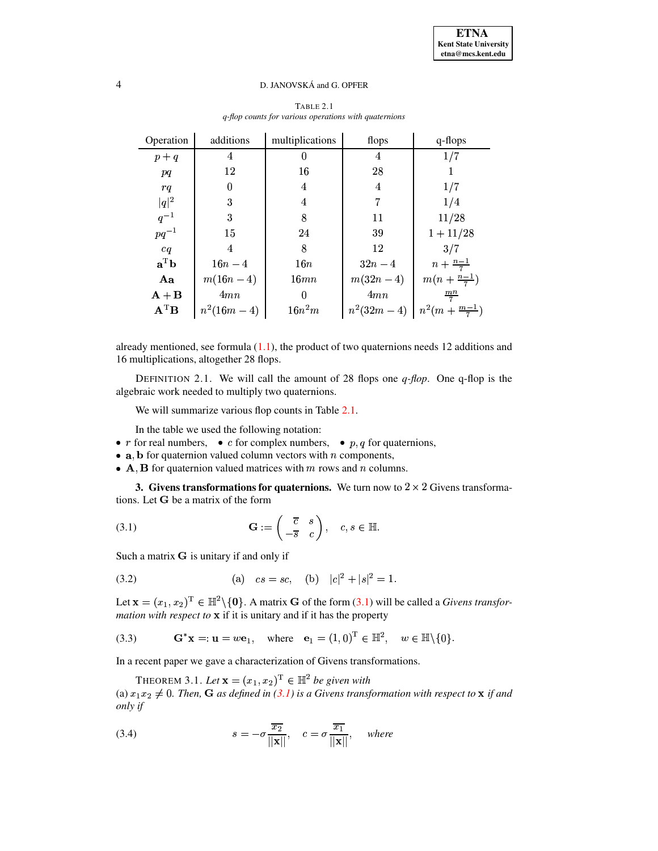| Operation                           | additions    | multiplications | flops      | q-flops                                                       |
|-------------------------------------|--------------|-----------------|------------|---------------------------------------------------------------|
| $p + q$                             | 4            | 0               | 4          | 1/7                                                           |
| pq                                  | 12           | 16              | 28         | 1                                                             |
| rq                                  | $\Omega$     | 4               | 4          | 1/7                                                           |
| $ q ^2$                             | 3            | 4               | 7          | 1/4                                                           |
| $q^{-1}$                            | 3            | 8               | 11         | 11/28                                                         |
| $pq^{-1}$                           | 15           | 24              | 39         | $1 + 11/28$                                                   |
| cq                                  | 4            | 8               | 12         | 3/7                                                           |
| $\mathbf{a}^{\mathrm{T}}\mathbf{b}$ | $16n - 4$    | 16n             | $32n-4$    | $n + \frac{n-1}{7}$                                           |
| Aa                                  | $m(16n - 4)$ | 16mn            | $m(32n-4)$ | $m(n + \frac{n-1}{7})$                                        |
| $A + B$                             | 4mn          | $\Omega$        | 4mn        | $\frac{mn}{7}$                                                |
| $A^T B$                             | $n^2(16m-4)$ | $16n^2m$        |            | $n^2(32m-4)$ $\left\lfloor n^2(m+\frac{m-1}{7})\right\rfloor$ |

## TABLE 2.1 *q-flop counts for various operations with quaternions*

already mentioned, see formula  $(1.1)$ , the product of two quaternions needs 12 additions and 16 multiplications, altogether 28 flops.

DEFINITION 2.1. We will call the amount of 28 flops one *q-flop*. One q-flop is the algebraic work needed to multiply two quaternions.

We will summarize various flop counts in Table [2.1.](#page-19-0)

In the table we used the following notation:

- In the table we used the following notation:<br>
 *r* for real numbers, *c* for complex numbers, *p*, *q* for quaternions,
- **a**, **b** for quaternion valued column vectors with  $n$  components,
- A, B for quaternion valued matrices with  $m$  rows and  $n$  columns.

**3. Givens transformations for quaternions.** We turn now to  $2 \times 2$  Givens transformations. Let  $G$  be a matrix of the form

<span id="page-3-0"></span>(3.1) 
$$
\mathbf{G} := \begin{pmatrix} \overline{c} & s \\ -\overline{s} & c \end{pmatrix}, \quad c, s \in \mathbb{H}.
$$

Such a matrix  $\bf{G}$  is unitary if and only if

<span id="page-3-3"></span>(3.2) (a) 
$$
cs = sc
$$
, (b)  $|c|^2 + |s|^2 = 1$ .

Let  $\mathbf{x} = (x_1, x_2)^T \in \mathbb{H}^2 \setminus \{ \mathbf{0} \}.$  A matrix **G** of the form [\(3.1\)](#page-3-0) will be called a *Givens transformation with respect to* \ if it is unitary and if it has the property

<span id="page-3-1"></span>(3.3)  $G^*x = u = w e_1$ , where  $e_1 = (1,0)^T \in \mathbb{H}^2$ ,  $w \in \mathbb{H} \setminus \{0\}.$ 

<span id="page-3-4"></span>In a recent paper we gave a characterization of Givens transformations.

THEOREM 3.1. Let  $\mathbf{x} = (x_1, x_2)^\mathrm{T} \in \mathbb{H}^2$  be given with (a)  $x_1 x_2 \neq 0$ . Then, **G** as defined in [\(3.1\)](#page-3-0) is a Givens transformation with respect to  $\bf{x}$  if and *only if*

<span id="page-3-2"></span>(3.4) 
$$
s = -\sigma \frac{\overline{x_2}}{||\mathbf{x}||}, \quad c = \sigma \frac{\overline{x_1}}{||\mathbf{x}||}, \quad where
$$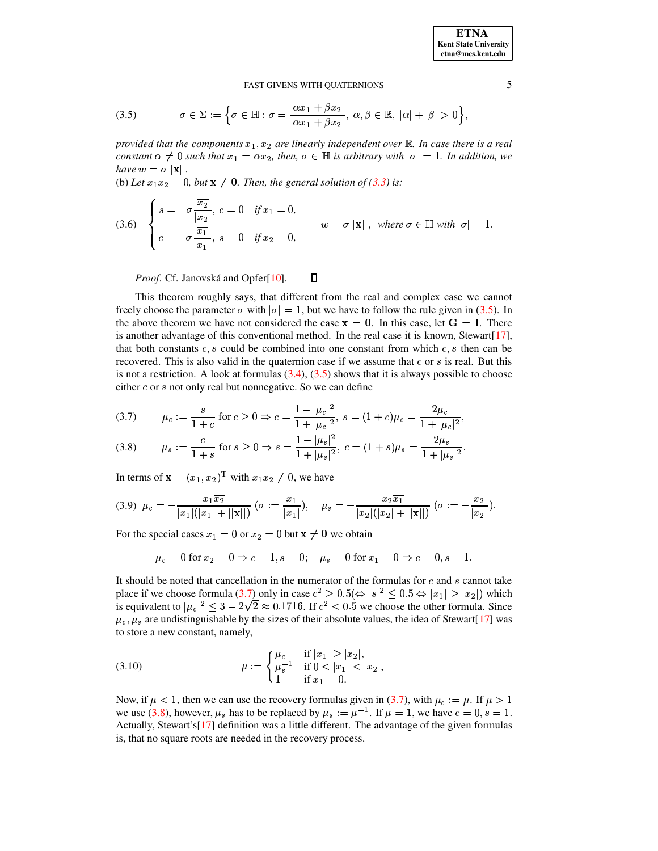**ETNA Kent State University**  $etna@mcs. kent.edu$ 

#### FAST GIVENS WITH OUATERNIONS

<span id="page-4-0"></span>(3.5) 
$$
\sigma \in \Sigma := \left\{ \sigma \in \mathbb{H} : \sigma = \frac{\alpha x_1 + \beta x_2}{|\alpha x_1 + \beta x_2|}, \ \alpha, \beta \in \mathbb{R}, \ |\alpha| + |\beta| > 0 \right\},
$$

provided that the components  $x_1, x_2$  are linearly independent over  $\mathbb R$ . In case there is a real constant  $\alpha \neq 0$  such that  $x_1 = \alpha x_2$ , then,  $\sigma \in \mathbb{H}$  is arbitrary with  $|\sigma| = 1$ . In addition, we have  $w = \sigma ||\mathbf{x}||$ .

(b) Let  $x_1x_2 = 0$ , but  $x \neq 0$ . Then, the general solution of (3.3) is:

(3.6) 
$$
\begin{cases} s = -\sigma \frac{\overline{x_2}}{|x_2|}, c = 0 & \text{if } x_1 = 0, \\ c = -\sigma \frac{\overline{x_1}}{|x_1|}, s = 0 & \text{if } x_2 = 0, \end{cases} \qquad w = \sigma ||\mathbf{x}||, \text{ where } \sigma \in \mathbb{H} \text{ with } |\sigma| = 1.
$$

Proof. Cf. Janovská and Opfer[10].  $\Box$ 

This theorem roughly says, that different from the real and complex case we cannot freely choose the parameter  $\sigma$  with  $|\sigma| = 1$ , but we have to follow the rule given in (3.5). In the above theorem we have not considered the case  $x = 0$ . In this case, let  $G = I$ . There is another advantage of this conventional method. In the real case it is known, Stewart [17], that both constants  $c, s$  could be combined into one constant from which  $c, s$  then can be recovered. This is also valid in the quaternion case if we assume that c or s is real. But this is not a restriction. A look at formulas  $(3.4)$ ,  $(3.5)$  shows that it is always possible to choose either  $c$  or  $s$  not only real but nonnegative. So we can define

<span id="page-4-1"></span>
$$
(3.7) \qquad \mu_c := \frac{s}{1+c} \text{ for } c \ge 0 \Rightarrow c = \frac{1 - |\mu_c|^2}{1 + |\mu_c|^2}, \ s = (1+c)\mu_c = \frac{2\mu_c}{1 + |\mu_c|^2},
$$

$$
(3.8) \qquad \mu_s := \frac{c}{1+s} \text{ for } s \ge 0 \Rightarrow s = \frac{1 - |\mu_s|^2}{1 + |\mu_s|^2}, \ c = (1+s)\mu_s = \frac{2\mu_s}{1 + |\mu_s|^2}.
$$

In terms of  $\mathbf{x} = (x_1, x_2)^\text{T}$  with  $x_1 x_2 \neq 0$ , we have

<span id="page-4-2"></span>
$$
(3.9) \ \mu_c = -\frac{x_1 \overline{x_2}}{|x_1|(|x_1| + ||\mathbf{x}||)} \ (\sigma := \frac{x_1}{|x_1|}), \quad \mu_s = -\frac{x_2 \overline{x_1}}{|x_2|(|x_2| + ||\mathbf{x}||)} \ (\sigma := -\frac{x_2}{|x_2|}).
$$

For the special cases  $x_1 = 0$  or  $x_2 = 0$  but  $x \neq 0$  we obtain

 $\mu_c = 0$  for  $x_2 = 0 \Rightarrow c = 1, s = 0;$   $\mu_s = 0$  for  $x_1 = 0 \Rightarrow c = 0, s = 1.$ 

It should be noted that cancellation in the numerator of the formulas for c and s cannot take place if we choose formula (3.7) only in case  $c^2 \ge 0.5 \Leftrightarrow |s|^2 \le 0.5 \Leftrightarrow |x_1| \ge |x_2|$ ) which is equivalent to  $|\mu_c|^2 \leq 3 - 2\sqrt{2} \approx 0.1716$ . If  $c^2 < 0.5$  we choose the other formula. Since  $\mu_c, \mu_s$  are undistinguishable by the sizes of their absolute values, the idea of Stewart [17] was to store a new constant, namely,

<span id="page-4-3"></span>(3.10) 
$$
\mu := \begin{cases} \mu_c & \text{if } |x_1| \ge |x_2|, \\ \mu_s^{-1} & \text{if } 0 < |x_1| < |x_2|, \\ 1 & \text{if } x_1 = 0. \end{cases}
$$

Now, if  $\mu$  < 1, then we can use the recovery formulas given in (3.7), with  $\mu_c := \mu$ . If  $\mu > 1$ we use (3.8), however,  $\mu_s$  has to be replaced by  $\mu_s := \mu^{-1}$ . If  $\mu = 1$ , we have  $c = 0$ ,  $s = 1$ . Actually, Stewart's[17] definition was a little different. The advantage of the given formulas is, that no square roots are needed in the recovery process.

5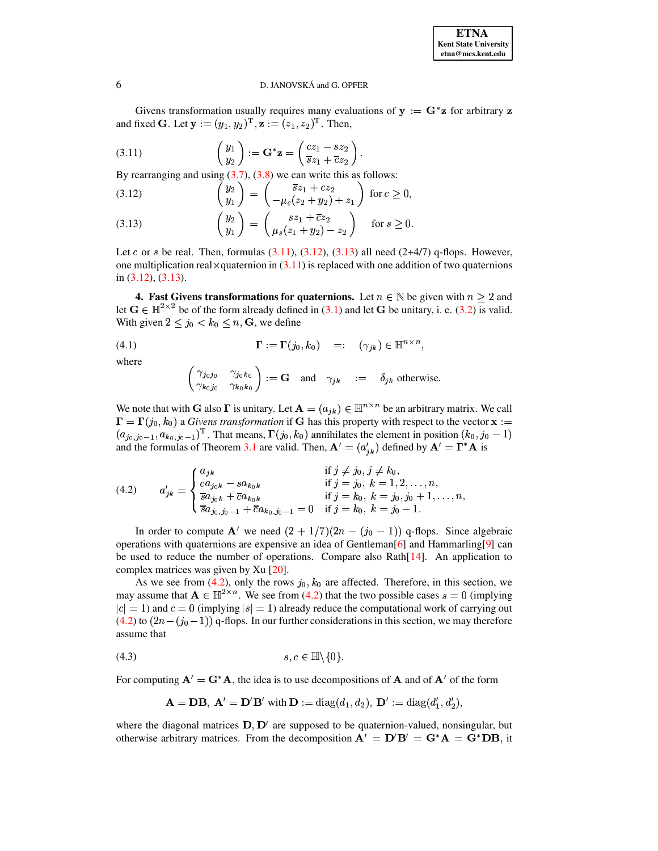Givens transformation usually requires many evaluations of  $y := G^*z$  for arbitrary z and fixed **G**. Let  $\mathbf{y} := (y_1, y_2)^T$ ,  $\mathbf{z} := (z_1, z_2)^T$ . Then,

<span id="page-5-0"></span>(3.11) 
$$
\begin{pmatrix} y_1 \\ y_2 \end{pmatrix} := \mathbf{G}^* \mathbf{z} = \begin{pmatrix} cz_1 - sz_2 \\ \overline{sz}_1 + \overline{c}z_2 \end{pmatrix}
$$

By rearranging and using  $(3.7)$ ,  $(3.8)$  we can write this as follows:

$$
(3.12) \qquad \begin{pmatrix} y_2 \\ y_1 \end{pmatrix} = \begin{pmatrix} \overline{s}z_1 + cz_2 \\ -\mu_c(z_2 + y_2) + z_1 \end{pmatrix} \text{ for } c \ge 0
$$

(3.13) 
$$
\begin{pmatrix} y_2 \ y_1 \end{pmatrix} = \begin{pmatrix} sz_1 + \overline{c}z_2 \ \mu_s(z_1 + y_2) - z_2 \end{pmatrix} \text{ for } s \ge 0
$$

Let c or s be real. Then, formulas  $(3.11)$ ,  $(3.12)$ ,  $(3.13)$  all need  $(2+4/7)$  q-flops. However, one multiplication real  $\times$  quaternion in (3.11) is replaced with one addition of two quaternions in  $(3.12)$ ,  $(3.13)$ .

<span id="page-5-3"></span>4. Fast Givens transformations for quaternions. Let  $n \in \mathbb{N}$  be given with  $n \ge 2$  and let  $G \in \mathbb{H}^{2 \times 2}$  be of the form already defined in (3.1) and let G be unitary, i. e. (3.2) is valid. With given  $2 \le j_0 < k_0 \le n$ , G, we define

(4.1) 
$$
\mathbf{\Gamma} := \mathbf{\Gamma}(j_0, k_0) =: (\gamma_{jk}) \in \mathbb{H}^{n \times n},
$$

where

<span id="page-5-2"></span>
$$
\begin{pmatrix}\gamma_{j_0j_0} & \gamma_{j_0k_0} \\ \gamma_{k_0j_0} & \gamma_{k_0k_0}\end{pmatrix} := \mathbf{G} \text{ and } \gamma_{jk} := \delta_{jk} \text{ otherwise.}
$$

We note that with G also  $\Gamma$  is unitary. Let  $\mathbf{A} = (a_{jk}) \in \mathbb{H}^{n \times n}$  be an arbitrary matrix. We call  $\mathbf{\Gamma} = \mathbf{\Gamma}(j_0, k_0)$  a *Givens transformation* if **G** has this property with respect to the vector  $\mathbf{x}$  :=  $(a_{j_0,j_0-1},a_{k_0,j_0-1})^T$ . That means,  $\Gamma(j_0,k_0)$  annihilates the element in position  $(k_0,j_0-1)$ and the formulas of Theorem 3.1 are valid. Then,  $\mathbf{A}' = (a'_{jk})$  defined by  $\mathbf{A}' = \Gamma^* \mathbf{A}$  is

<span id="page-5-1"></span>(4.2) 
$$
a'_{jk} = \begin{cases} a_{jk} & \text{if } j \neq j_0, j \neq k_0, \\ ca_{j_0k} - sa_{k_0k} & \text{if } j = j_0, k = 1, 2, ..., n, \\ \frac{\overline{a}a_{j_0k} + \overline{c}a_{k_0k}}{\overline{s}a_{j_0,j_0-1} + \overline{c}a_{k_0,j_0-1}} = 0 & \text{if } j = k_0, k = j_0, k = j_0 - 1. \end{cases}
$$

In order to compute  $A'$  we need  $(2 + 1/7)(2n - (j_0 - 1))$  q-flops. Since algebraic operations with quaternions are expensive an idea of Gentleman<sup>[6]</sup> and Hammarling<sup>[9]</sup> can be used to reduce the number of operations. Compare also Rath $[14]$ . An application to complex matrices was given by Xu  $[20]$ .

As we see from (4.2), only the rows  $j_0, k_0$  are affected. Therefore, in this section, we may assume that  $\mathbf{A} \in \mathbb{H}^{2 \times n}$ . We see from (4.2) that the two possible cases  $s = 0$  (implying  $|c| = 1$ ) and  $c = 0$  (implying  $|s| = 1$ ) already reduce the computational work of carrying out  $(4.2)$  to  $(2n - (j_0 - 1))$  q-flops. In our further considerations in this section, we may therefore assume that

$$
(4.3) \t\t s, c \in \mathbb{H} \backslash \{0\}
$$

For computing  $A' = G^*A$ , the idea is to use decompositions of A and of  $A'$  of the form

$$
\mathbf{A} = \mathbf{D}\mathbf{B}, \ \mathbf{A}' = \mathbf{D}'\mathbf{B}' \text{ with } \mathbf{D} := \text{diag}(d_1, d_2), \ \mathbf{D}' := \text{diag}(d'_1, d'_2).
$$

where the diagonal matrices  $D, D'$  are supposed to be quaternion-valued, nonsingular, but otherwise arbitrary matrices. From the decomposition  $A' = D'B' = G^*A = G^*DB$ , it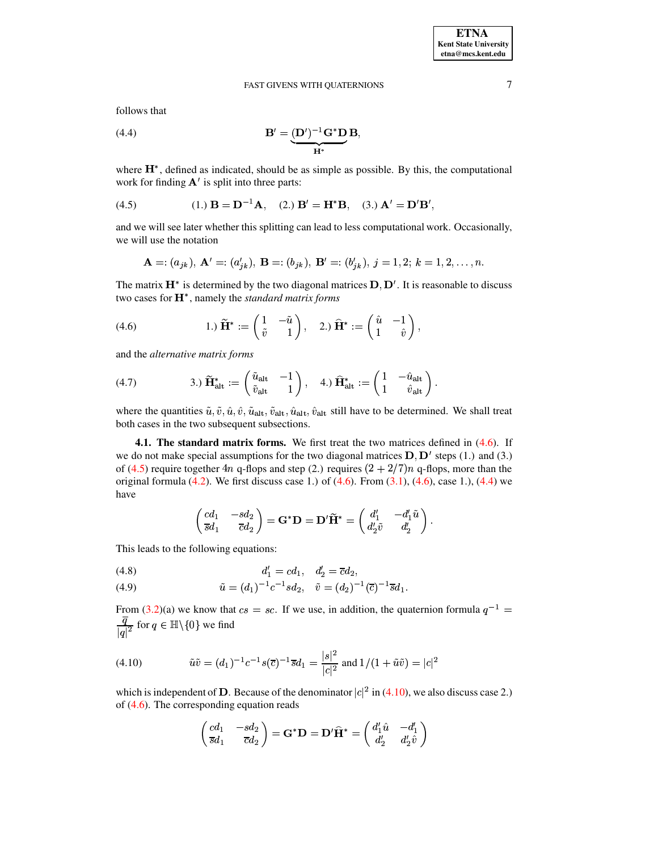follows that

<span id="page-6-3"></span>(4.4) 
$$
\mathbf{B}' = \underbrace{(\mathbf{D}')^{-1} \mathbf{G}^* \mathbf{D}}_{\mathbf{H}^*} \mathbf{B},
$$

where  $H^*$ , defined as indicated, should be as simple as possible. By this, the computational work for finding  $A'$  is split into three parts:

<span id="page-6-2"></span>(4.5) 
$$
(1.) \mathbf{B} = \mathbf{D}^{-1} \mathbf{A}, \quad (2.) \mathbf{B}' = \mathbf{H}^* \mathbf{B}, \quad (3.) \mathbf{A}' = \mathbf{D}' \mathbf{B}',
$$

and we will see later whether this splitting can lead to less computational work. Occasionally, we will use the notation

$$
\mathbf{A} = (a_{jk}), \ \mathbf{A}' = (a'_{jk}), \ \mathbf{B} = (b_{jk}), \ \mathbf{B}' = (b'_{jk}), \ j = 1, 2; \ k = 1, 2, \ldots, n.
$$

The matrix  $\mathbf{H}^*$  is determined by the two diagonal matrices  $\mathbf{D}, \mathbf{D}'$ . It is reasonable to discuss two cases for  $\mathbf{H}^*$ , namely the *standard matrix forms* 

<span id="page-6-1"></span>(4.6) 
$$
1. \widetilde{H}^* := \begin{pmatrix} 1 & -\tilde{u} \\ \tilde{v} & 1 \end{pmatrix}, \quad 2. \widetilde{H}^* := \begin{pmatrix} \hat{u} & -1 \\ 1 & \hat{v} \end{pmatrix},
$$

and the *alternative matrix forms*

<span id="page-6-6"></span>(4.7) 
$$
\mathbf{H}_{\text{alt}}^* := \begin{pmatrix} \tilde{u}_{\text{alt}} & -1 \\ \tilde{v}_{\text{alt}} & 1 \end{pmatrix}, \quad \text{4.) } \hat{\mathbf{H}}_{\text{alt}}^* := \begin{pmatrix} 1 & -\hat{u}_{\text{alt}} \\ 1 & \hat{v}_{\text{alt}} \end{pmatrix}.
$$

where the quantities  $\tilde{u}, \tilde{v}, \hat{u}, \hat{v}, \tilde{u}_{\text{alt}}, \tilde{v}_{\text{alt}}, \hat{u}_{\text{alt}}, \hat{v}_{\text{alt}}$  still have to be determined. We shall treat both cases in the two subsequent subsections.

<span id="page-6-0"></span>**4.1. The standard matrix forms.** We first treat the two matrices defined in [\(4.6\)](#page-6-1). If we do not make special assumptions for the two diagonal matrices  $\mathbf{D}, \mathbf{D}'$  steps (1.) and (3.) of [\(4.5\)](#page-6-2) require together 4n q-flops and step (2.) requires  $(2 + 2/7)n$  q-flops, more than the original formula  $(4.2)$ . We first discuss case 1.) of  $(4.6)$ . From  $(3.1)$ ,  $(4.6)$ , case 1.),  $(4.4)$  we have

<span id="page-6-5"></span>
$$
\begin{pmatrix} cd_1 & -sd_2 \\ \overline{s}d_1 & \overline{c}d_2 \end{pmatrix} = \mathbf{G^*D} = \mathbf{D'}\widetilde{\mathbf{H}}^* = \begin{pmatrix} d_1' & -d_1'\widetilde{u} \\ d_2'\widetilde{v} & d_2' \end{pmatrix}.
$$

This leads to the following equations:

(4.8) 
$$
d'_1 = cd_1, \quad d'_2 = \overline{c}d_2,
$$

(4.9) 
$$
\tilde{u} = (d_1)^{-1} c^{-1} s d_2, \quad \tilde{v} = (d_2)^{-1} (\overline{c})^{-1} \overline{s} d_1.
$$

From [\(3.2\)](#page-3-3)(a) we know that  $cs = sc$ . If we use, in addition, the quaternion formula  $q^{-1} =$  $\frac{q}{|q|^2}$  for  $q \in \mathbb{H} \setminus \{0\}$  we find

<span id="page-6-4"></span>(4.10) 
$$
\tilde{u}\tilde{v} = (d_1)^{-1}c^{-1}s(\overline{c})^{-1}\overline{s}d_1 = \frac{|s|^2}{|c|^2} \text{ and } 1/(1+\tilde{u}\tilde{v}) = |c|^2
$$

which is independent of **D**. Because of the denominator  $|c|^2$  in [\(4.10\)](#page-6-4), we also discuss case 2.) of [\(4.6\)](#page-6-1). The corresponding equation reads

$$
\begin{pmatrix} cd_1 & -sd_2 \\ \overline{s}d_1 & \overline{c}d_2 \end{pmatrix} = \mathbf{G^*D} = \mathbf{D'}\mathbf{\widehat{H}^*} = \begin{pmatrix} d'_1\hat{u} & -d'_1 \\ d'_2 & d'_2\hat{v} \end{pmatrix}
$$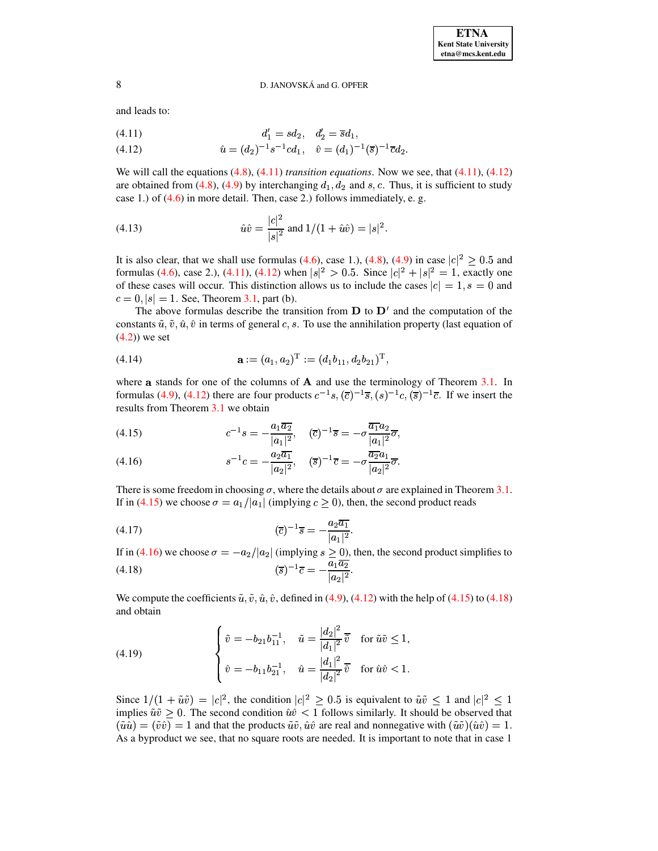and leads to:

<span id="page-7-0"></span>
$$
(4.11) \t d'_1 = sd_2, \t d'_2 = \overline{s}d_1,
$$

(4.12) 
$$
\hat{u} = (d_2)^{-1} s^{-1} c d_1, \quad \hat{v} = (d_1)^{-1} (\overline{s})^{-1} \overline{c} d_2.
$$

We will call the equations [\(4.8\)](#page-6-5), [\(4.11\)](#page-7-0) *transition equations*. Now we see, that [\(4.11\)](#page-7-0), [\(4.12\)](#page-7-0) are obtained from [\(4.8\)](#page-6-5), [\(4.9\)](#page-6-5) by interchanging  $d_1, d_2$  and  $s, c$ . Thus, it is sufficient to study case 1.) of [\(4.6\)](#page-6-1) in more detail. Then, case 2.) follows immediately, e. g.

<span id="page-7-3"></span>(4.13) 
$$
\hat{u}\hat{v} = \frac{|c|^2}{|s|^2} \text{ and } 1/(1 + \hat{u}\hat{v}) = |s|^2.
$$

It is also clear, that we shall use formulas [\(4.6\)](#page-6-1), case 1.), [\(4.8\)](#page-6-5), [\(4.9\)](#page-6-5) in case  $|c|^2 \ge 0.5$  and formulas [\(4.6\)](#page-6-1), case 2.), [\(4.11\)](#page-7-0), [\(4.12\)](#page-7-0) when  $|s|^2 > 0.5$ . Since  $|c|^2 + |s|^2 = 1$ , exactly one of these cases will occur. This distinction allows us to include the cases  $|c| = 1$ ,  $s = 0$  and  $c = 0, |s| = 1$ . See, Theorem [3.1,](#page-3-4) part (b).

The above formulas describe the transition from  $D$  to  $D'$  and the computation of the constants  $\tilde{u}, \tilde{v}, \hat{u}, \hat{v}$  in terms of general c, s. To use the annihilation property (last equation of [\(4.2\)](#page-5-1)) we set

(4.14) 
$$
\mathbf{a} := (a_1, a_2)^{\mathrm{T}} := (d_1b_{11}, d_2b_{21})^{\mathrm{T}},
$$

where **a** stands for one of the columns of  $\bf{A}$  and use the terminology of Theorem [3.1.](#page-3-4) In formulas [\(4.9\)](#page-6-5), [\(4.12\)](#page-7-0) there are four products  $c^{-1}s$ ,  $(\bar{c})^{-1}\bar{s}$ ,  $(s)^{-1}c$ ,  $(\bar{s})^{-1}\bar{c}$ . If we insert the results from Theorem [3.1](#page-3-4) we obtain

<span id="page-7-1"></span>(4.15) 
$$
c^{-1}s = -\frac{a_1 \overline{a_2}}{|a_1|^2}, \quad (\overline{c})^{-1}\overline{s} = -\sigma \frac{\overline{a_1} a_2}{|a_1|^2} \overline{\sigma},
$$

(4.16) 
$$
s^{-1}c = -\frac{a_2\overline{a_1}}{|a_2|^2}, \quad (\overline{s})^{-1}\overline{c} = -\sigma \frac{\overline{a_2}a_1}{|a_2|^2}\overline{\sigma}.
$$

There is some freedom in choosing  $\sigma$ , where the details about  $\sigma$  are explained in Theorem [3.1.](#page-3-4) If in [\(4.15\)](#page-7-1) we choose  $\sigma = a_1 / |a_1|$  (implying  $c \ge 0$ ), then, the second product reads

<span id="page-7-2"></span>(4.17) 
$$
(\overline{c})^{-1}\overline{s} = -\frac{a_2\overline{a_1}}{|a_1|^2}.
$$

If in [\(4.16\)](#page-7-1) we choose  $\sigma = -a_2/|a_2|$  (implying  $s \ge 0$ ), then, the second product simplifies to (4.18)  $(\overline{s})^{-1}\overline{c} = -\frac{a_1a_2}{|a_2|^2}.$ 

We compute the coefficients  $\tilde{u}, \tilde{v}, \hat{u}, \hat{v}$ , defined in [\(4.9\)](#page-6-5), [\(4.12\)](#page-7-0) with the help of [\(4.15\)](#page-7-1) to [\(4.18\)](#page-7-2) and obtain

<span id="page-7-4"></span>(4.19) 
$$
\begin{cases} \tilde{v} = -b_{21}b_{11}^{-1}, & \tilde{u} = \frac{|d_2|^2}{|d_1|^2} \overline{\tilde{v}} & \text{for } \tilde{u}\tilde{v} \le 1, \\ \hat{v} = -b_{11}b_{21}^{-1}, & \hat{u} = \frac{|d_1|^2}{|d_2|^2} \overline{\tilde{v}} & \text{for } \hat{u}\hat{v} < 1. \end{cases}
$$

Since  $1/(1 + \tilde{u}\tilde{v}) = |c|^2$ , the condition  $|c|^2 \ge 0.5$  is equivalent to  $\tilde{u}\tilde{v} \le 1$  and  $|c|^2 \le 1$ implies  $\tilde{u}\tilde{v} \ge 0$ . The second condition  $\hat{u}\hat{v} < 1$  follows similarly. It should be observed that  $\left(\tilde{u}\hat{u}\right) = \left(\tilde{v}\hat{v}\right) = 1$  and that the products  $\tilde{u}\tilde{v}, \hat{u}\hat{v}$  are real and nonnegative with  $\left(\tilde{u}\tilde{v}\right)\left(\hat{u}\hat{v}\right) = 1$ . As a byproduct we see, that no square roots are needed. It is important to note that in case 1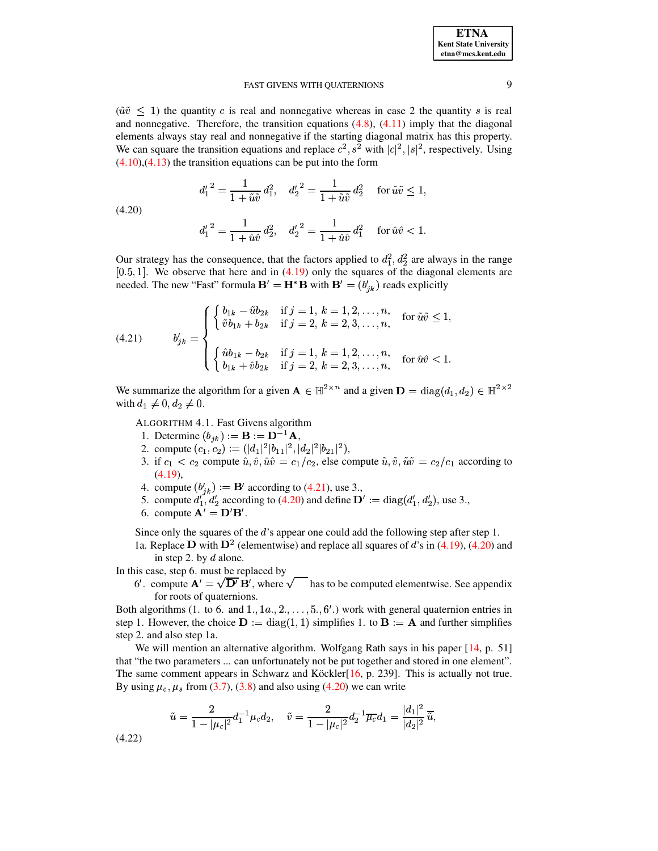| <b>ETNA</b>           |
|-----------------------|
| Kent State University |
| etna@mcs.kent.edu     |

 $(\tilde{u}\tilde{v} \leq 1)$  the quantity c is real and nonnegative whereas in case 2 the quantity s is real and nonnegative. Therefore, the transition equations  $(4.8)$ ,  $(4.11)$  imply that the diagonal elements always stay real and nonnegative if the starting diagonal matrix has this property. We can square the transition equations and replace  $c^2$ ,  $s^2$  with  $|c|^2$ ,  $|s|^2$ , respectively. Using  $(4.10)$ ,  $(4.13)$  the transition equations can be put into the form

$$
d_1^2 = \frac{1}{1 + \tilde{u}\tilde{v}} d_1^2
$$
,  $d_2^2 = \frac{1}{1 + \tilde{u}\tilde{v}} d_2^2$  for  $\tilde{u}\tilde{v} \le 1$ ,

<span id="page-8-1"></span> $(4.20)$ 

$$
{d_1'}^2=\frac{1}{1+\hat u\hat v}\,d_2^2,\quad {d_2'}^2=\frac{1}{1+\hat u\hat v}\,d_1^2\quad\text{ for }\hat u\hat v<1.
$$

Our strategy has the consequence, that the factors applied to  $d_1^2$ ,  $d_2^2$  are always in the range  $[0.5, 1]$ . We observe that here and in  $(4.19)$  only the squares of the diagonal elements are needed. The new "Fast" formula  $\mathbf{B}' = \mathbf{H}^* \mathbf{B}$  with  $\mathbf{B}' = (b'_{ik})$  reads explicitly

<span id="page-8-0"></span>(4.21) 
$$
b'_{jk} = \begin{cases} \begin{cases} b_{1k} - \tilde{u}b_{2k} & \text{if } j = 1, k = 1, 2, ..., n, \\ \tilde{v}b_{1k} + b_{2k} & \text{if } j = 2, k = 2, 3, ..., n, \end{cases} & \text{for } \tilde{u}\tilde{v} \le 1, \\ \begin{cases} \hat{u}b_{1k} - b_{2k} & \text{if } j = 1, k = 1, 2, ..., n, \\ b_{1k} + \hat{v}b_{2k} & \text{if } j = 2, k = 2, 3, ..., n, \end{cases} & \text{for } \hat{u}\hat{v} < 1. \end{cases}
$$

We summarize the algorithm for a given  $\mathbf{A} \in \mathbb{H}^{2 \times n}$  and a given  $\mathbf{D} = \text{diag}(d_1, d_2) \in \mathbb{H}^{2 \times 2}$ with  $d_1 \neq 0, d_2 \neq 0$ .

- ALGORITHM 4.1. Fast Givens algorithm
- 1. Determine  $(b_{jk}) := B := D^{-1}A$ ,
- 2. compute  $(c_1, c_2) := (|d_1|^2 |b_{11}|^2, |d_2|^2 |b_{21}|^2)$ ,
- 3. if  $c_1 < c_2$  compute  $\hat{u}, \hat{v}, \hat{u}\hat{v} = c_1/c_2$ , else compute  $\tilde{u}, \tilde{v}, \tilde{u}\tilde{v} = c_2/c_1$  according to  $(4.19),$
- 
- 4. compute  $(b'_{jk}) := \mathbf{B}'$  according to (4.21), use 3.,<br>5. compute  $d'_1, d'_2$  according to (4.20) and define  $\mathbf{D}' := \text{diag}(d'_1, d'_2)$ , use 3.,
- 6. compute  $\mathbf{A}' = \mathbf{D}'\mathbf{B}'$ .

Since only the squares of the  $d$ 's appear one could add the following step after step 1. 1a. Replace D with  $D^2$  (elementwise) and replace all squares of d's in (4.19), (4.20) and

in step 2. by  $d$  alone.

In this case, step 6. must be replaced by

6'. compute  $\mathbf{A}' = \sqrt{\mathbf{D}'} \mathbf{B}'$ , where  $\sqrt{\phantom{a}}$  has to be computed elementwise. See appendix for roots of quaternions.

Both algorithms (1. to 6. and 1.,  $1a_1, 2, \ldots, 5, 6'$ .) work with general quaternion entries in step 1. However, the choice  $\mathbf{D} := diag(1, 1)$  simplifies 1. to  $\mathbf{B} := \mathbf{A}$  and further simplifies step 2. and also step 1a.

We will mention an alternative algorithm. Wolfgang Rath says in his paper  $[14, p. 51]$ that "the two parameters ... can unfortunately not be put together and stored in one element". The same comment appears in Schwarz and Köckler<sup>[16</sup>, p. 239]. This is actually not true. By using  $\mu_c$ ,  $\mu_s$  from (3.7), (3.8) and also using (4.20) we can write

$$
\tilde{u} = \frac{2}{1-|\mu_c|^2}d_1^{-1}\mu_c d_2, \quad \tilde{v} = \frac{2}{1-|\mu_c|^2}d_2^{-1}\overline{\mu_c} d_1 = \frac{|d_1|^2}{|d_2|^2}\overline{\tilde{u}},
$$

<span id="page-8-2"></span> $(4.22)$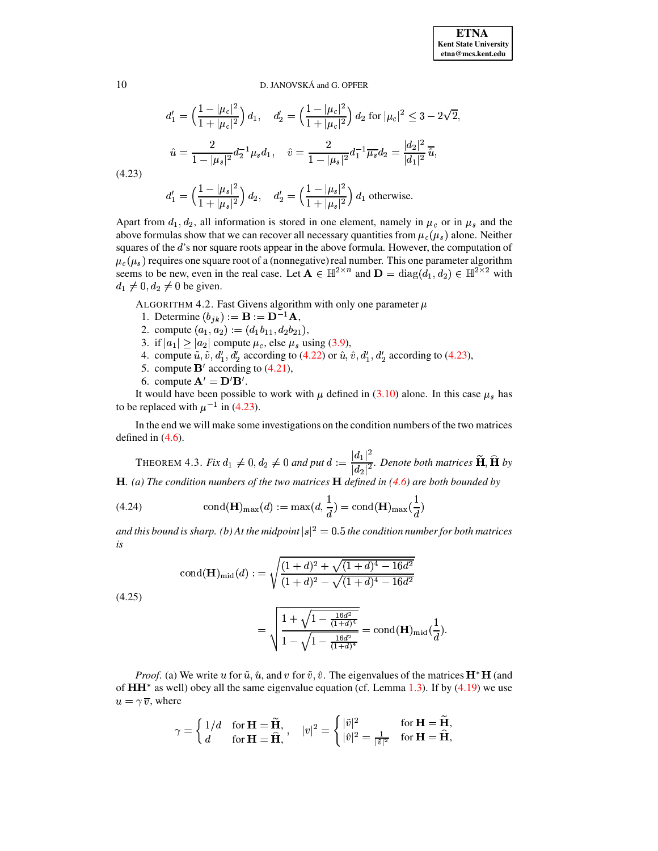$$
d_1' = \left(\frac{1 - |\mu_c|^2}{1 + |\mu_c|^2}\right) d_1, \quad d_2' = \left(\frac{1 - |\mu_c|^2}{1 + |\mu_c|^2}\right) d_2 \text{ for } |\mu_c|^2 \le 3 - 2\sqrt{2}
$$

$$
\hat{u} = \frac{2}{1 - |\mu_s|^2} d_2^{-1} \mu_s d_1, \quad \hat{v} = \frac{2}{1 - |\mu_s|^2} d_1^{-1} \overline{\mu_s} d_2 = \frac{|d_2|^2}{|d_1|^2} \overline{\hat{u}},
$$
  
(3)

$$
(4.23)
$$

$$
d'_1 = \left(\frac{1 - |\mu_s|^2}{1 + |\mu_s|^2}\right) d_2
$$
,  $d'_2 = \left(\frac{1 - |\mu_s|^2}{1 + |\mu_s|^2}\right) d_1$  otherwise.

Apart from  $d_1, d_2$ , all information is stored in one element, namely in  $\mu_c$  or in  $\mu_s$  and the above formulas show that we can recover all necessary quantities from  $\mu_c(\mu_s)$  alone. Neither squares of the d's nor square roots appear in the above formula. However, the computation of  $\mu_c(\mu_s)$  requires one square root of a (nonnegative) real number. This one parameter algorithm seems to be new, even in the real case. Let  $\mathbf{A} \in \mathbb{H}^{2 \times n}$  and  $\mathbf{D} = \text{diag}(\hat{d}_1, d_2) \in \mathbb{H}^{2 \times 2}$  with  $d_1 \neq 0, d_2 \neq 0$  be given.

ALGORITHM 4.2. Fast Givens algorithm with only one parameter  $\mu$ 

- 1. Determine  $(b_{jk}) := \mathbf{B} := \mathbf{D}^{-1} \mathbf{A}$ ,
- 2. compute  $(a_1, a_2) := (d_1b_{11}, d_2b_{21})$ ,
- 3. if  $|a_1| \ge |a_2|$  compute  $\mu_c$ , else  $\mu_s$  using (3.9),
- 4. compute  $\tilde{u}, \tilde{v}, d'_1, d'_2$  according to (4.22) or  $\hat{u}, \hat{v}, d'_1, d'_2$  according to (4.23),
- 5. compute  $\mathbf{B}'$  according to (4.21),
- 6. compute  $\mathbf{A}' = \mathbf{D}'\mathbf{B}'$ .

It would have been possible to work with  $\mu$  defined in (3.10) alone. In this case  $\mu_s$  has to be replaced with  $\mu^{-1}$  in (4.23).

In the end we will make some investigations on the condition numbers of the two matrices defined in  $(4.6)$ .

THEOREM 4.3. Fix  $d_1 \neq 0$ ,  $d_2 \neq 0$  and put  $d := \frac{|d_1|^2}{|d_2|^2}$ . Denote both matrices  $\widetilde{H}$ ,  $\widehat{H}$  by **H.** (a) The condition numbers of the two matrices **H** defined in  $(4.6)$  are both bounded by

<span id="page-9-0"></span>(4.24) 
$$
\text{cond}(\mathbf{H})_{\text{max}}(d) := \text{max}(d, \frac{1}{d}) = \text{cond}(\mathbf{H})_{\text{max}}(\frac{1}{d})
$$

and this bound is sharp. (b) At the midpoint  $|s|^2 = 0.5$  the condition number for both matrices  $is$ 

$$
\text{cond}(\mathbf{H})_{\text{mid}}(d) := \sqrt{\frac{(1+d)^2 + \sqrt{(1+d)^4 - 16d^2}}{(1+d)^2 - \sqrt{(1+d)^4 - 16d^2}}}
$$

<span id="page-9-1"></span> $(4.25)$ 

$$
= \sqrt{\frac{1 + \sqrt{1 - \frac{16d^2}{(1+d)^4}}}{1 - \sqrt{1 - \frac{16d^2}{(1+d)^4}}}} = \text{cond}(\mathbf{H})_{\text{mid}}(\frac{1}{d}).
$$

*Proof.* (a) We write u for  $\tilde{u}$ ,  $\hat{u}$ , and v for  $\tilde{v}$ ,  $\hat{v}$ . The eigenvalues of the matrices  $H^*H$  (and of  $HH^*$  as well) obey all the same eigenvalue equation (cf. Lemma 1.3). If by (4.19) we use  $u = \gamma \overline{v}$ , where

$$
\gamma = \begin{cases} 1/d & \text{for } \mathbf{H} = \widetilde{\mathbf{H}}, \\ d & \text{for } \mathbf{H} = \widehat{\mathbf{H}}, \end{cases}, \quad |v|^2 = \begin{cases} |\tilde{v}|^2 & \text{for } \mathbf{H} = \widetilde{\mathbf{H}}, \\ |\hat{v}|^2 = \frac{1}{|\tilde{v}|^2} & \text{for } \mathbf{H} = \widehat{\mathbf{H}}, \end{cases}
$$

10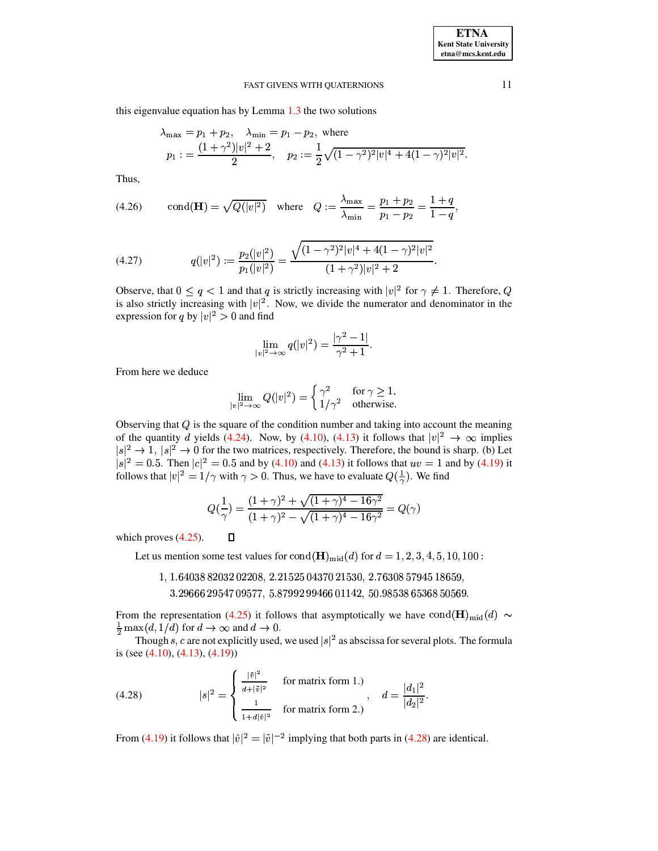this eigenvalue equation has by Lemma 1.3 the two solutions

$$
\lambda_{\max} = p_1 + p_2, \quad \lambda_{\min} = p_1 - p_2, \text{ where}
$$
  
\n
$$
p_1 := \frac{(1 + \gamma^2)|v|^2 + 2}{2}, \quad p_2 := \frac{1}{2}\sqrt{(1 - \gamma^2)^2|v|^4 + 4(1 - \gamma)^2|v|^2}.
$$

Thus,

(4.26) cond(**H**) = 
$$
\sqrt{Q(|v|^2)}
$$
 where  $Q := \frac{\lambda_{\text{max}}}{\lambda_{\text{min}}} = \frac{p_1 + p_2}{p_1 - p_2} = \frac{1 + q}{1 - q}$ 

<span id="page-10-1"></span>(4.27) 
$$
q(|v|^2) := \frac{p_2(|v|^2)}{p_1(|v|^2)} = \frac{\sqrt{(1-\gamma^2)^2|v|^4 + 4(1-\gamma)^2|v|^2}}{(1+\gamma^2)|v|^2 + 2}
$$

Observe, that  $0 \le q < 1$  and that q is strictly increasing with  $|v|^2$  for  $\gamma \ne 1$ . Therefore, Q is also strictly increasing with  $|v|^2$ . Now, we divide the numerator and denominator in the expression for q by  $|v|^2 > 0$  and find

$$
\lim_{|v|^2 \to \infty} q(|v|^2) = \frac{|\gamma^2 - 1|}{\gamma^2 + 1}.
$$

From here we deduce

$$
\lim_{|v|^2 \to \infty} Q(|v|^2) = \begin{cases} \gamma^2 & \text{for } \gamma \ge 1, \\ 1/\gamma^2 & \text{otherwise.} \end{cases}
$$

Observing that  $Q$  is the square of the condition number and taking into account the meaning of the quantity d yields (4.24). Now, by (4.10), (4.13) it follows that  $|v|^2 \to \infty$  implies  $|s|^2 \rightarrow 1$ ,  $|s|^2 \rightarrow 0$  for the two matrices, respectively. Therefore, the bound is sharp. (b) Let  $|s|^2 = 0.5$ . Then  $|c|^2 = 0.5$  and by (4.10) and (4.13) it follows that  $uv = 1$  and by (4.19) it follows that  $|v|^2 = 1/\gamma$  wit

$$
Q(\frac{1}{\gamma}) = \frac{(1+\gamma)^2 + \sqrt{(1+\gamma)^4 - 16\gamma^2}}{(1+\gamma)^2 - \sqrt{(1+\gamma)^4 - 16\gamma^2}} = Q(\gamma)
$$

which proves  $(4.25)$ .  $\Box$ 

Let us mention some test values for  $\text{cond}(\mathbf{H})_{mid}(d)$  for  $d = 1, 2, 3, 4, 5, 10, 100$ :

- 1, 1.64038 82032 02208, 2.21525 04370 21530, 2.76308 57945 18659,
	- 3.29666 29547 09577, 5.87992 99466 01142, 50.98538 65368 50569.

From the representation (4.25) it follows that asymptotically we have cond(H)<sub>mid</sub>(d) ~  $\frac{1}{2}$  max $(d, 1/d)$  for  $d \to \infty$  and  $d \to 0$ .

Though s, c are not explicitly used, we used  $|s|^2$  as abscissa for several plots. The formula is (see  $(4.10)$ ,  $(4.13)$ ,  $(4.19)$ )

<span id="page-10-0"></span>(4.28) 
$$
|s|^2 = \begin{cases} \frac{|\tilde{v}|^2}{d+|\tilde{v}|^2} & \text{for matrix form 1.} \\ \frac{1}{1+d|\tilde{v}|^2} & \text{for matrix form 2.} \end{cases}, \quad d = \frac{|d_1|^2}{|d_2|^2}.
$$

From (4.19) it follows that  $|\hat{v}|^2 = |\tilde{v}|^{-2}$  implying that both parts in (4.28) are identical.

11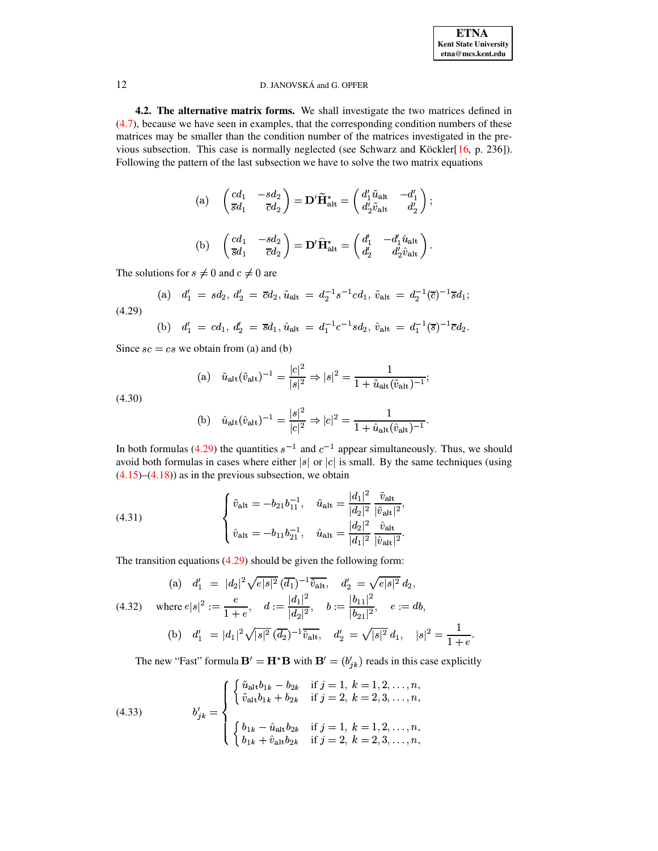:

 $\blacksquare$ : the contract of the contract of the contract of the contract of the contract of the contract of the contract of the contract of the contract of the contract of the contract of the contract of the contract of the c

# <span id="page-11-0"></span>12 D. JANOVSKÁ and G. OPFER

**4.2. The alternative matrix forms.** We shall investigate the two matrices defined in [\(4.7\)](#page-6-6), because we have seen in examples, that the corresponding condition numbers of these matrices may be smaller than the condition number of the matrices investigated in the previous subsection. This case is normally neglected (see Schwarz and Köckler $[16, p. 236]$  $[16, p. 236]$  $[16, p. 236]$ ). Following the pattern of the last subsection we have to solve the two matrix equations

(a) 
$$
\begin{pmatrix} cd_1 & -sd_2 \\ \overline{s}d_1 & \overline{c}d_2 \end{pmatrix} = \mathbf{D}' \widetilde{\mathbf{H}}_{\text{alt}}^* = \begin{pmatrix} d'_1 \widetilde{u}_{\text{alt}} & -d'_1 \\ d'_2 \widetilde{v}_{\text{alt}} & d'_2 \end{pmatrix};
$$
  
\n(b)  $\begin{pmatrix} cd_1 & -sd_2 \\ \overline{s}d_1 & \overline{c}d_2 \end{pmatrix} = \mathbf{D}' \widehat{\mathbf{H}}_{\text{alt}}^* = \begin{pmatrix} d'_1 & -d'_1 \widehat{u}_{\text{alt}} \\ d'_2 & d'_2 \widehat{v}_{\text{alt}} \end{pmatrix}.$ 

The solutions for  $s \neq 0$  and  $c \neq 0$  are

<span id="page-11-1"></span>
$$
\text{(a)} \quad d_1' \ = \ sd_2, \, d_2' \ = \ \overline{c}d_2, \, \tilde{u}_{\text{alt}} \ = \ d_2^{-1} s^{-1} c d_1, \, \tilde{v}_{\text{alt}} \ = \ d_2^{-1} (\overline{c})^{-1} \overline{s} d_1; \tag{4.29}
$$

(b) 
$$
d'_1 = cd_1, d'_2 = \overline{s}d_1, \hat{u}_{\text{alt}} = d_1^{-1}c^{-1}s d_2, \hat{v}_{\text{alt}} = d_1^{-1}(\overline{s})^{-1}\overline{c}d_2.
$$

Since  $sc = cs$  we obtain from (a) and (b)

(a) 
$$
\tilde{u}_{\text{alt}}(\tilde{v}_{\text{alt}})^{-1} = \frac{|c|^2}{|s|^2} \Rightarrow |s|^2 = \frac{1}{1 + \tilde{u}_{\text{alt}}(\tilde{v}_{\text{alt}})^{-1}};
$$

<span id="page-11-2"></span>(4.30)

(b) 
$$
\hat{u}_{\text{alt}}(\hat{v}_{\text{alt}})^{-1} = \frac{|s|^2}{|c|^2} \Rightarrow |c|^2 = \frac{1}{1 + \hat{u}_{\text{alt}}(\hat{v}_{\text{alt}})^{-1}}.
$$

In both formulas [\(4.29\)](#page-11-1) the quantities  $s^{-1}$  and  $c^{-1}$  appear simultaneously. Thus, we should avoid both formulas in cases where either |s| or  $|c|$  is small. By the same techniques (using  $(4.15)$ – $(4.18)$ ) as in the previous subsection, we obtain

<span id="page-11-3"></span>(4.31) 
$$
\begin{cases} \tilde{v}_{\text{alt}} = -b_{21}b_{11}^{-1}, & \tilde{u}_{\text{alt}} = \frac{|d_1|^2}{|d_2|^2} \frac{\tilde{v}_{\text{alt}}}{|\tilde{v}_{\text{alt}}|^2}, \\ \hat{v}_{\text{alt}} = -b_{11}b_{21}^{-1}, & \hat{u}_{\text{alt}} = \frac{|d_2|^2}{|d_1|^2} \frac{\tilde{v}_{\text{alt}}}{|\tilde{v}_{\text{alt}}|^2}. \end{cases}
$$

The transition equations [\(4.29\)](#page-11-1) should be given the following form:

<span id="page-11-4"></span>
$$
\begin{array}{lll}\n\text{(a)} & d_1' = |d_2|^2 \sqrt{e|s|^2} \, \overline{(d_1)}^{-1} \overline{\tilde{v}_{\text{alt}}}, & d_2' = \sqrt{e|s|^2} \, d_2, \\
\text{(4.32)} & \text{where } e|s|^2 := \frac{e}{1+e}, & d := \frac{|d_1|^2}{|d_2|^2}, & b := \frac{|b_{11}|^2}{|b_{21}|^2}, & e := db, \\
\text{(b)} & d_1' = |d_1|^2 \sqrt{|s|^2} \, \overline{(d_2)}^{-1} \overline{\tilde{v}_{\text{alt}}}, & d_2' = \sqrt{|s|^2} \, d_1, & |s|^2 = \frac{1}{1+e}.\n\end{array}
$$

The new "Fast" formula  $\mathbf{B}' = \mathbf{H}^* \mathbf{B}$  with  $\mathbf{B}' = (b'_{ik})$  reads in this case explicitly

(4.33) 
$$
b'_{jk} = \begin{cases} \begin{cases} \tilde{u}_{\text{alt}}b_{1k} - b_{2k} & \text{if } j = 1, k = 1, 2, ..., n, \\ \tilde{v}_{\text{alt}}b_{1k} + b_{2k} & \text{if } j = 2, k = 2, 3, ..., n, \end{cases} \\ \begin{cases} b_{1k} - \hat{u}_{\text{alt}}b_{2k} & \text{if } j = 1, k = 1, 2, ..., n, \\ b_{1k} + \hat{v}_{\text{alt}}b_{2k} & \text{if } j = 2, k = 2, 3, ..., n, \end{cases} \end{cases}
$$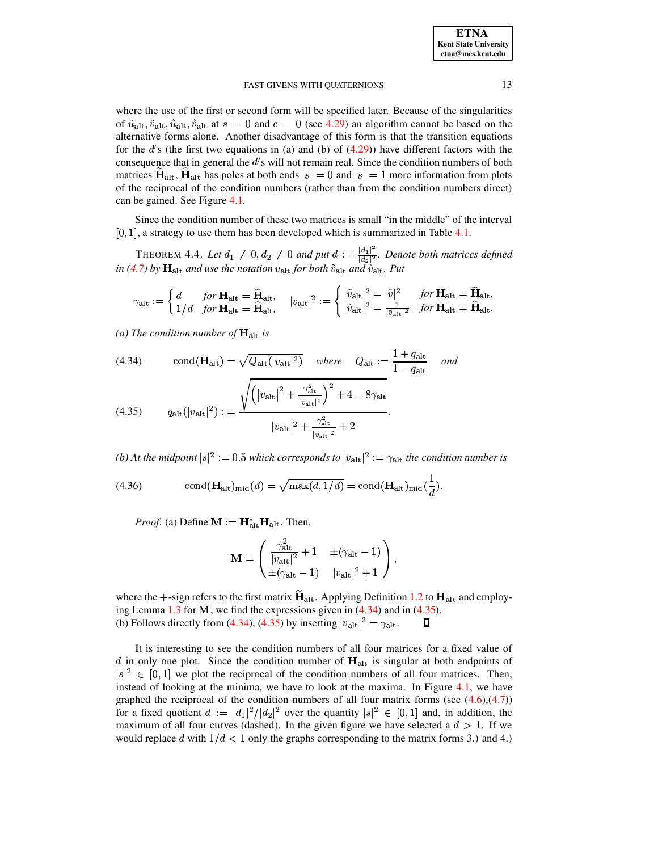where the use of the first or second form will be specified later. Because of the singularities of  $\tilde{u}_{\text{alt}}$ ,  $\tilde{v}_{\text{alt}}$ ,  $\hat{u}_{\text{alt}}$ ,  $\hat{v}_{\text{alt}}$  at  $s = 0$  and  $c = 0$  (see 4.29) an algorithm cannot be based on the alternative forms alone. Another disadvantage of this form is that the transition equations for the d's (the first two equations in (a) and (b) of  $(4.29)$ ) have different factors with the consequence that in general the d's will not remain real. Since the condition numbers of both matrices  $H_{alt}$ ,  $H_{alt}$  has poles at both ends  $|s| = 0$  and  $|s| = 1$  more information from plots of the reciprocal of the condition numbers (rather than from the condition numbers direct) can be gained. See Figure 4.1.

Since the condition number of these two matrices is small "in the middle" of the interval  $[0, 1]$ , a strategy to use them has been developed which is summarized in Table 4.1.

THEOREM 4.4. Let  $d_1 \neq 0, d_2 \neq 0$  and put  $d := \frac{|d_1|^2}{|d_2|^2}$ . Denote both matrices defined in (4.7) by  $\mathbf{H}_{\text{alt}}$  and use the notation  $v_{\text{alt}}$  for both  $\tilde{v}_{\text{alt}}$  and  $\hat{v}_{\text{alt}}$ . Put

$$
\gamma_{\mathrm{alt}} := \begin{cases} d & \text{for } \mathbf{H}_{\mathrm{alt}} = \widetilde{\mathbf{H}}_{\mathrm{alt}}, \\ 1/d & \text{for } \mathbf{H}_{\mathrm{alt}} = \widehat{\mathbf{H}}_{\mathrm{alt}}, \end{cases} \quad |v_{\mathrm{alt}}|^2 := \begin{cases} |\tilde{v}_{\mathrm{alt}}|^2 = |\tilde{v}|^2 & \text{for } \mathbf{H}_{\mathrm{alt}} = \widetilde{\mathbf{H}}_{\mathrm{alt}}, \\ |\hat{v}_{\mathrm{alt}}|^2 = \frac{1}{|\tilde{v}_{\mathrm{alt}}|^2} & \text{for } \mathbf{H}_{\mathrm{alt}} = \widehat{\mathbf{H}}_{\mathrm{alt}}. \end{cases}
$$

(a) The condition number of  $\mathbf{H}_{\text{alt}}$  is

<span id="page-12-0"></span>(4.34) cond(
$$
\mathbf{H}_{\text{alt}} = \sqrt{Q_{\text{alt}}(|v_{\text{alt}}|^2)}
$$
 where  $Q_{\text{alt}} := \frac{1 + q_{\text{alt}}}{1 - q_{\text{alt}}}$  and

(4.35) 
$$
q_{\text{alt}}(|v_{\text{alt}}|^2) := \frac{\sqrt{\left(|v_{\text{alt}}|^2 + \frac{\gamma_{\text{alt}}}{|v_{\text{alt}}|^2}\right) + 4 - 8\gamma_{\text{alt}}}{|v_{\text{alt}}|^2 + \frac{\gamma_{\text{alt}}^2}{|v_{\text{alt}}|^2} + 2}.
$$

(b) At the midpoint  $|s|^2 := 0.5$  which corresponds to  $|v_{alt}|^2 := \gamma_{alt}$  the condition number is

<span id="page-12-1"></span>(4.36) 
$$
\text{cond}(\mathbf{H}_{\text{alt}})_{\text{mid}}(d) = \sqrt{\max(d, 1/d)} = \text{cond}(\mathbf{H}_{\text{alt}})_{\text{mid}}(\frac{1}{d}).
$$

*Proof.* (a) Define  $\mathbf{M} := \mathbf{H}_{\text{alt}}^* \mathbf{H}_{\text{alt}}$ . Then,

$$
\mathbf{M} = \begin{pmatrix} \frac{\gamma_{\text{alt}}^2}{|v_{\text{alt}}|^2} + 1 & \pm (\gamma_{\text{alt}} - 1) \\ \pm (\gamma_{\text{alt}} - 1) & |v_{\text{alt}}|^2 + 1 \end{pmatrix},
$$

where the  $+$ -sign refers to the first matrix  $H_{alt}$ . Applying Definition 1.2 to  $H_{alt}$  and employing Lemma 1.3 for M, we find the expressions given in  $(4.34)$  and in  $(4.35)$ . (b) Follows directly from (4.34), (4.35) by inserting  $|v_{\text{alt}}|^2 = \gamma_{\text{alt}}$ .  $\Box$ 

It is interesting to see the condition numbers of all four matrices for a fixed value of  $d$  in only one plot. Since the condition number of  $H_{alt}$  is singular at both endpoints of  $|s|^2 \in [0,1]$  we plot the reciprocal of the condition numbers of all four matrices. Then, instead of looking at the minima, we have to look at the maxima. In Figure  $4.1$ , we have graphed the reciprocal of the condition numbers of all four matrix forms (see  $(4.6)$ , $(4.7)$ ) for a fixed quotient  $d := |d_1|^2/|d_2|^2$  over the quantity  $|s|^2 \in [0,1]$  and, in addition, the maximum of all four curves (dashed). In the given figure we have selected a  $d > 1$ . If we would replace d with  $1/d < 1$  only the graphs corresponding to the matrix forms 3.) and 4.)

13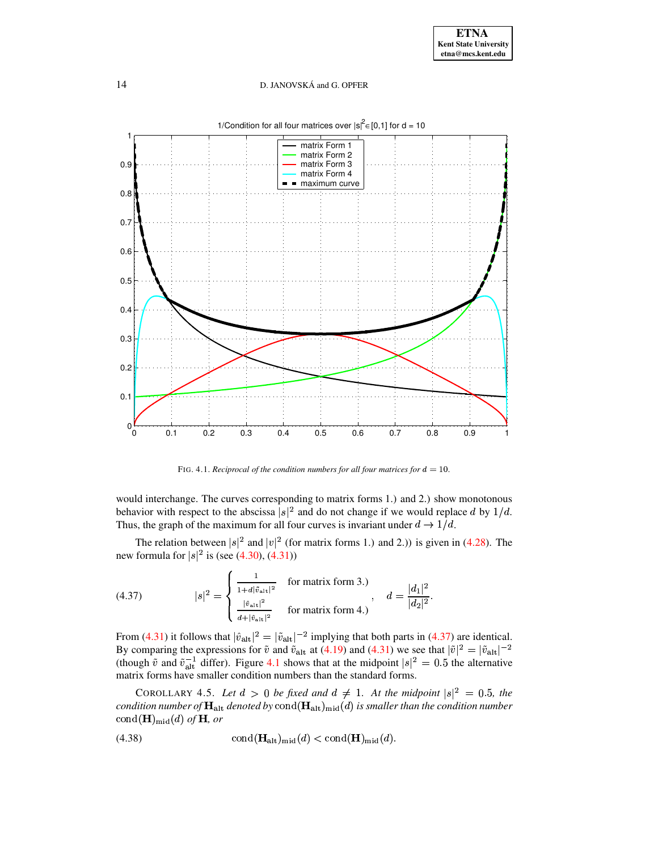

1/Condition for all four matrices over  $|s|^2 \in [0,1]$  for d = 10

FIG. 4.1. Reciprocal of the condition numbers for all four matrices for  $d = 10$ .

<span id="page-13-0"></span>would interchange. The curves corresponding to matrix forms 1.) and 2.) show monotonous behavior with respect to the abscissa  $|s|^2$  and do not change if we would replace d by  $1/d$ . Thus, the graph of the maximum for all four curves is invariant under  $d \rightarrow 1/d$ .

The relation between  $|s|^2$  and  $|v|^2$  (for matrix forms 1.) and 2.)) is given in (4.28). The new formula for  $|s|^2$  is (see (4.30), (4.31))

<span id="page-13-1"></span>(4.37) 
$$
|s|^2 = \begin{cases} \frac{1}{1 + d|\tilde{v}_{\text{alt}}|^2} & \text{for matrix form 3.)} \\ \frac{|\hat{v}_{\text{alt}}|^2}{d + |\hat{v}_{\text{alt}}|^2} & \text{for matrix form 4.)} \end{cases}, \quad d = \frac{|d_1|^2}{|d_2|^2}
$$

From (4.31) it follows that  $|\hat{v}_{\text{alt}}|^2 = |\tilde{v}_{\text{alt}}|^{-2}$  implying that both parts in (4.37) are identical.<br>By comparing the expressions for  $\tilde{v}$  and  $\tilde{v}_{\text{alt}}$  at (4.19) and (4.31) we see that  $|\tilde{v}|^2 = |\tilde{v}_{\text{$ matrix forms have smaller condition numbers than the standard forms.

COROLLARY 4.5. Let  $d > 0$  be fixed and  $d \neq 1$ . At the midpoint  $|s|^2 = 0.5$ , the condition number of  $\mathbf{H}_{\text{alt}}$  denoted by  $\text{cond}(\mathbf{H}_{\text{alt}})_{\text{mid}}(d)$  is smaller than the condition number cond( $\mathbf{H}$ )<sub>mid</sub>(*d*) *of*  $\mathbf{H}$ *, or* 

<span id="page-13-2"></span>(4.38) 
$$
\text{cond}(\mathbf{H}_{\text{alt}})_{\text{mid}}(d) < \text{cond}(\mathbf{H})_{\text{mid}}(d).
$$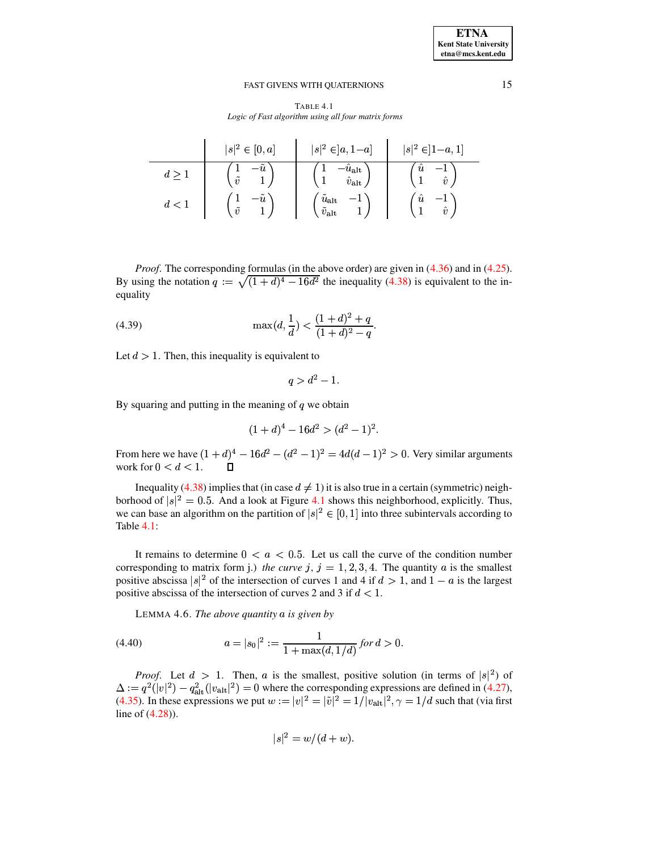TABLE 4.1 Logic of Fast algorithm using all four matrix forms

|     | $ s ^2 \in [0,a]$ | $ s ^2 \in ]a, 1-a]$       | $ s ^2 \in ]1-a,1]$       |
|-----|-------------------|----------------------------|---------------------------|
|     | - u               | $u_{\rm alt}$              | $\boldsymbol{\mathit{u}}$ |
|     | $\tilde{v}$       | $\hat{v}_{\mathrm{alt}}$   | $\hat{v}$                 |
| d < | $\boldsymbol{u}$  | $\tilde{u}_{\rm alt}$      | $\boldsymbol{\mathit{u}}$ |
|     | $\tilde{v}$       | $\tilde{v}_{\mathrm{alt}}$ | $\hat{v}$                 |

*Proof.* The corresponding formulas (in the above order) are given in  $(4.36)$  and in  $(4.25)$ . By using the notation  $q := \sqrt{(1+d)^4 - 16d^2}$  the inequality (4.38) is equivalent to the inequality

(4.39) 
$$
\max(d, \frac{1}{d}) < \frac{(1+d)^2 + q}{(1+d)^2 - q}.
$$

Let  $d > 1$ . Then, this inequality is equivalent to

 $q > d^2 - 1.$ 

By squaring and putting in the meaning of  $q$  we obtain

$$
(1+d)^4 - 16d^2 > (d^2 - 1)^2.
$$

From here we have  $(1 + d)^4 - 16d^2 - (d^2 - 1)^2 = 4d(d - 1)^2 > 0$ . Very similar arguments work for  $0 < d < 1$ .

Inequality (4.38) implies that (in case  $d \neq 1$ ) it is also true in a certain (symmetric) neighborhood of  $|s|^2 = 0.5$ . And a look at Figure 4.1 shows this neighborhood, explicitly. Thus, we can base an algorithm on the partition of  $|s|^2 \in [0,1]$  into three subintervals according to Table 4.1:

It remains to determine  $0 < a < 0.5$ . Let us call the curve of the condition number corresponding to matrix form j.) the curve j,  $j = 1, 2, 3, 4$ . The quantity a is the smallest positive abscissa |s|<sup>2</sup> of the intersection of curves 1 and 4 if  $d > 1$ , and  $1 - a$  is the largest positive abscissa of the intersection of curves 2 and 3 if  $d < 1$ .

LEMMA 4.6. The above quantity  $a$  is given by

<span id="page-14-0"></span>(4.40) 
$$
a = |s_0|^2 := \frac{1}{1 + \max(d, 1/d)} \text{ for } d > 0.
$$

*Proof.* Let  $d > 1$ . Then, a is the smallest, positive solution (in terms of  $|s|^2$ ) of  $\Delta := q^2(|v|^2) - q_{\text{alt}}^2(|v_{\text{alt}}|^2) = 0$  where the corresponding expressions are defined in (4.27), (4.35). In these expressions we put  $w := |v|^2 = |\tilde{v}|^2 = 1/|v_{\text{alt}}|^2$ ,  $\gamma = 1/d$  such that (via first line of  $(4.28)$ ).

$$
|s|^2 = w/(d+w).
$$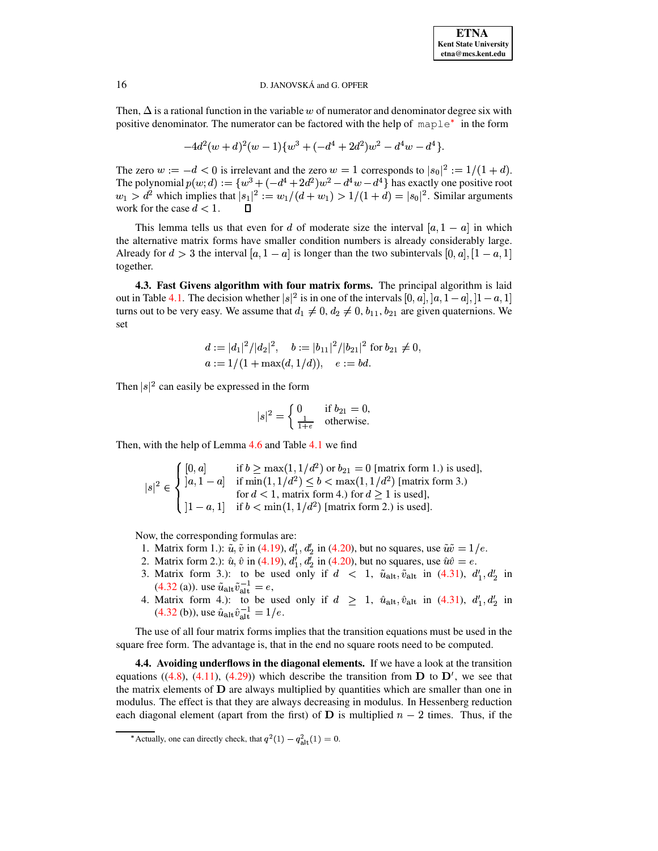Then,  $\Delta$  is a rational function in the variable w of numerator and denominator degree six with positive denominator. The numerator can be factored with the help of maple<sup>\*</sup> in the form

$$
-4d^2(w+d)^2(w-1){w^3+(-d^4+2d^2)w^2-d^4w-d^4}.
$$

The zero  $w := -d < 0$  is irrelevant and the zero  $w = 1$  corresponds to  $|s_0|^2 := 1/(1+d)$ . The polynomial  $p(w; d) := \{w^3 + (-d^4 + 2d^2)w^2 - d^4w - d^4\}$  has exactly one positive root  $w_1 > d^2$  which implies that  $|s_1|^2 := w_1/(d+w_1) > 1/(1+d) = |s_0|^2$ . Similar arguments work for the case  $d < 1$ . П

This lemma tells us that even for d of moderate size the interval  $[a, 1 - a]$  in which the alternative matrix forms have smaller condition numbers is already considerably large. Already for  $d > 3$  the interval  $[a, 1 - a]$  is longer than the two subintervals  $[0, a]$ ,  $[1 - a, 1]$ together.

4.3. Fast Givens algorithm with four matrix forms. The principal algorithm is laid out in Table 4.1. The decision whether  $|s|^2$  is in one of the intervals  $[0, a]$ ,  $[a, 1-a]$ ,  $[1-a, 1]$ turns out to be very easy. We assume that  $d_1 \neq 0$ ,  $d_2 \neq 0$ ,  $b_{11}$ ,  $b_{21}$  are given quaternions. We set

$$
d := |d_1|^2/|d_2|^2, \quad b := |b_{11}|^2/|b_{21}|^2 \text{ for } b_{21} \neq 0,
$$
  
\n
$$
a := 1/(1 + \max(d, 1/d)), \quad e := bd.
$$

Then  $|s|^2$  can easily be expressed in the form

$$
|s|^2 = \begin{cases} 0 & \text{if } b_{21} = 0, \\ \frac{1}{1+e} & \text{otherwise.} \end{cases}
$$

Then, with the help of Lemma 4.6 and Table 4.1 we find

$$
|s|^2 \in \begin{cases} [0, a] & \text{if } b \ge \max(1, 1/d^2) \text{ or } b_{21} = 0 \text{ [matrix form 1.) is used]},\\ |a, 1 - a] & \text{if } \min(1, 1/d^2) \le b < \max(1, 1/d^2) \text{ [matrix form 3.)}\\ \text{for } d < 1 \text{, matrix form 4.) for } d \ge 1 \text{ is used},\\ |1 - a, 1] & \text{if } b < \min(1, 1/d^2) \text{ [matrix form 2.) is used}. \end{cases}
$$

Now, the corresponding formulas are:

- 1. Matrix form 1.):  $\tilde{u}$ ,  $\tilde{v}$  in (4.19),  $d'_1$ ,  $d'_2$  in (4.20), but no squares, use  $\tilde{u}\tilde{v} = 1/e$ .
- 2. Matrix form 2.):  $\hat{u}, \hat{v}$  in (4.19),  $d'_1, d'_2$  in (4.20), but no squares, use  $\hat{u}\hat{v} = e$ .
- 3. Matrix form 3.): to be used only if  $d < 1$ ,  $\tilde{u}_{alt}$ ,  $\tilde{v}_{alt}$  in (4.31),  $d'_1$ ,  $d'_2$  in
- (4.32 (a)). use  $\tilde{u}_{alt} \tilde{v}_{alt}^{-1} = e$ ,<br>4. Matrix form 4.): to be used only if  $d \ge 1$ ,  $\hat{u}_{alt}, \hat{v}_{alt}$  in (4.31),  $d'_1, d'_2$  in (4.32 (b)), use  $\hat{u}_{alt} \hat{v}_{alt}^{-1} = 1/e$ .

The use of all four matrix forms implies that the transition equations must be used in the square free form. The advantage is, that in the end no square roots need to be computed.

**4.4. Avoiding underflows in the diagonal elements.** If we have a look at the transition equations ((4.8), (4.11), (4.29)) which describe the transition from  $\bf{D}$  to  $\bf{D}'$ , we see that the matrix elements of  $D$  are always multiplied by quantities which are smaller than one in modulus. The effect is that they are always decreasing in modulus. In Hessenberg reduction each diagonal element (apart from the first) of **D** is multiplied  $n - 2$  times. Thus, if the

<span id="page-15-0"></span><sup>\*</sup> Actually, one can directly check, that  $q^2(1) - q_{\text{alt}}^2(1) = 0$ .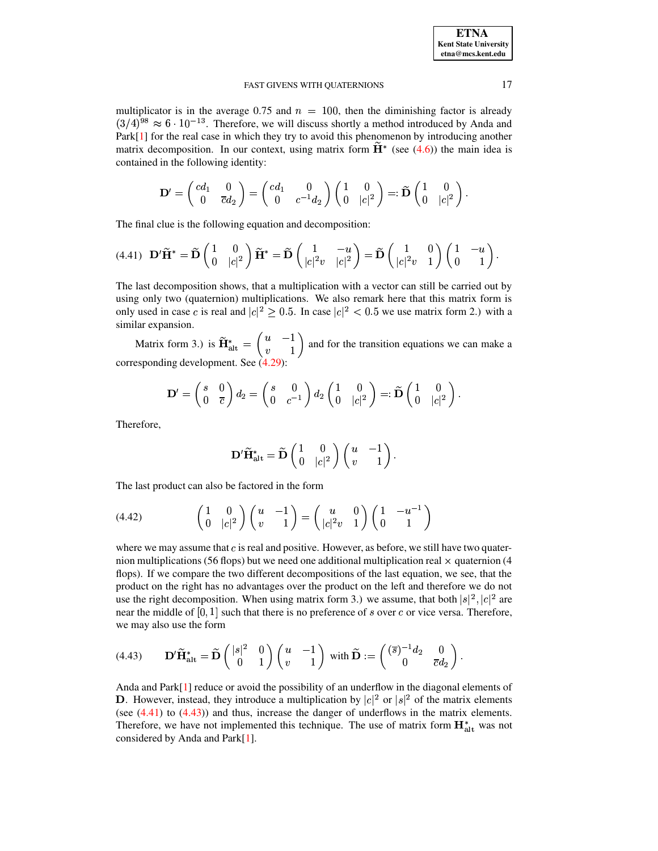multiplicator is in the average 0.75 and  $n = 100$ , then the diminishing factor is already  $(3/4)^{98} \approx 6 \cdot 10^{-13}$ . Therefore, we will discuss shortly a method introduced by Anda and Park[\[1\]](#page-24-5) for the real case in which they try to avoid this phenomenon by introducing another matrix decomposition. In our context, using matrix form  $\mathbf{H}^*$  (see [\(4.6\)](#page-6-1)) the main idea is contained in the following identity:

$$
\mathbf{D}' = \left(\begin{matrix} cd_1 & 0 \\ 0 & \overline{c}d_2 \end{matrix}\right) = \left(\begin{matrix} cd_1 & 0 \\ 0 & c^{-1}d_2 \end{matrix}\right) \left(\begin{matrix} 1 & 0 \\ 0 & |c|^2 \end{matrix}\right) =: \widetilde{\mathbf{D}}\left(\begin{matrix} 1 & 0 \\ 0 & |c|^2 \end{matrix}\right).
$$

The final clue is the following equation and decomposition:

<span id="page-16-0"></span>
$$
(4.41)\quad \mathbf{D}'\widetilde{\mathbf{H}}^* = \widetilde{\mathbf{D}}\begin{pmatrix} 1 & 0 \\ 0 & |c|^2 \end{pmatrix} \widetilde{\mathbf{H}}^* = \widetilde{\mathbf{D}}\begin{pmatrix} 1 & -u \\ |c|^2v & |c|^2 \end{pmatrix} = \widetilde{\mathbf{D}}\begin{pmatrix} 1 & 0 \\ |c|^2v & 1 \end{pmatrix} \begin{pmatrix} 1 & -u \\ 0 & 1 \end{pmatrix}.
$$

The last decomposition shows, that a multiplication with a vector can still be carried out by using only two (quaternion) multiplications. We also remark here that this matrix form is only used in case c is real and  $|c|^2 \ge 0.5$ . In case  $|c|^2 < 0.5$  we use matrix form 2.) with a similar expansion.

Matrix form 3.) is  $\widetilde{\mathbf{H}}_{\text{alt}}^* = \begin{pmatrix} u & -1 \\ u & 1 \end{pmatrix}$  and for the  $\begin{pmatrix} a & 1 \\ v & 1 \end{pmatrix}$  and for the transition equations we can make a corresponding development. See [\(4.29\)](#page-11-1):

$$
\mathbf{D}'=\left(\begin{matrix} s & 0 \\ 0 & \overline{c} \end{matrix}\right)d_2=\left(\begin{matrix} s & 0 \\ 0 & c^{-1} \end{matrix}\right)d_2\left(\begin{matrix} 1 & 0 \\ 0 & |c|^2 \end{matrix}\right)=:\widetilde{\mathbf{D}}\left(\begin{matrix} 1 & 0 \\ 0 & |c|^2 \end{matrix}\right).
$$

Therefore,

$$
\mathbf{D}' \widetilde{\mathbf{H}}^*_{\rm alt} = \widetilde{\mathbf{D}}\left(\begin{matrix} 1 & 0 \\ 0 & |c|^2 \end{matrix}\right)\left(\begin{matrix} u & -1 \\ v & 1 \end{matrix}\right).
$$

The last product can also be factored in the form

$$
(4.42) \qquad \qquad \begin{pmatrix} 1 & 0 \\ 0 & |c|^2 \end{pmatrix} \begin{pmatrix} u & -1 \\ v & 1 \end{pmatrix} = \begin{pmatrix} u & 0 \\ |c|^2 v & 1 \end{pmatrix} \begin{pmatrix} 1 & -u^{-1} \\ 0 & 1 \end{pmatrix}
$$

where we may assume that  $c$  is real and positive. However, as before, we still have two quaternion multiplications (56 flops) but we need one additional multiplication real  $\times$  quaternion (4 flops). If we compare the two different decompositions of the last equation, we see, that the product on the right has no advantages over the product on the left and therefore we do not use the right decomposition. When using matrix form 3.) we assume, that both  $|s|^2$ ,  $|c|^2$  are near the middle of  $[0, 1]$  such that there is no preference of s over c or vice versa. Therefore, we may also use the form

<span id="page-16-1"></span>(4.43) 
$$
\mathbf{D}'\widetilde{\mathbf{H}}_{\mathrm{alt}}^* = \widetilde{\mathbf{D}}\begin{pmatrix} |s|^2 & 0\\ 0 & 1 \end{pmatrix} \begin{pmatrix} u & -1\\ v & 1 \end{pmatrix} \text{ with } \widetilde{\mathbf{D}} := \begin{pmatrix} (\overline{s})^{-1}d_2 & 0\\ 0 & \overline{c}d_2 \end{pmatrix}.
$$

Anda and Park[\[1\]](#page-24-5) reduce or avoid the possibility of an underflow in the diagonal elements of **D**. However, instead, they introduce a multiplication by  $|c|^2$  or  $|s|^2$  of the matrix elements (see [\(4.41\)](#page-16-0) to [\(4.43\)](#page-16-1)) and thus, increase the danger of underflows in the matrix elements. Therefore, we have not implemented this technique. The use of matrix form  $\mathbf{H}^*_{\text{alt}}$  was not considered by Anda and Park[\[1\]](#page-24-5).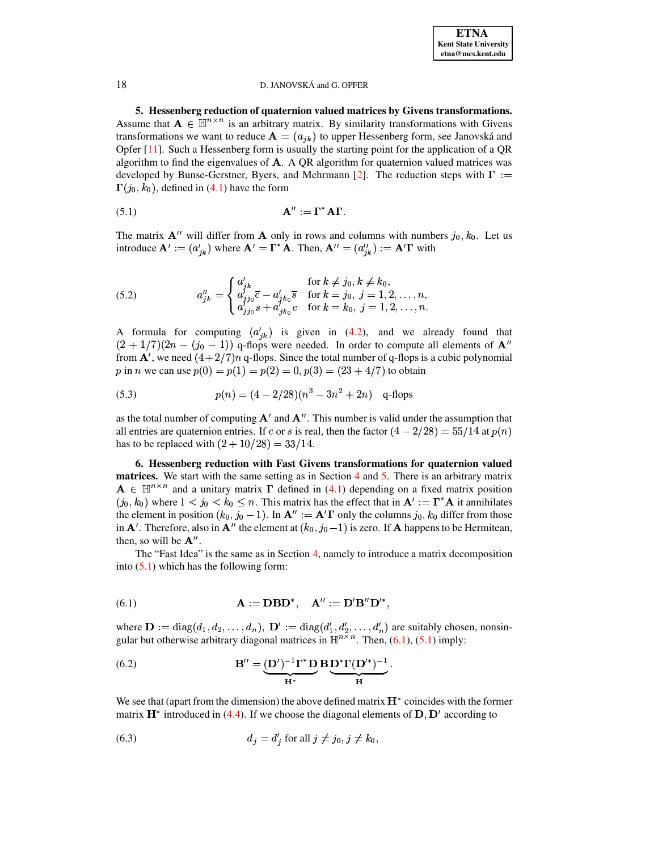**5. Hessenberg reduction of quaternion valued matrices by Givens transformations.** Assume that  $A \in \mathbb{H}^{n \times n}$  is an arbitrary matrix. By similarity transformations with Givens transformations we want to reduce  $\mathbf{A} = (a_{jk})$  to upper Hessenberg form, see Janovská and Opfer  $[11]$ . Such a Hessenberg form is usually the starting point for the application of a QR algorithm to find the eigenvalues of  $\bf{A}$ . A QR algorithm for quaternion valued matrices was developed by Bunse-Gerstner, Byers, and Mehrmann [\[2\]](#page-24-7). The reduction steps with  $\Gamma :=$  $\Gamma(j_0, k_0)$ , defined in [\(4.1\)](#page-5-2) have the form

<span id="page-17-1"></span>
$$
\mathbf{A}^{\prime\prime} := \mathbf{\Gamma}^* \mathbf{A} \mathbf{\Gamma}.
$$

The matrix  $A''$  will differ from A only in rows and columns with numbers  $j_0, k_0$ . Let us introduce  $\mathbf{A}' := (a'_{ik})$  where  $\mathbf{A}' = \mathbf{\Gamma}^* \mathbf{A}$ . Then,  $\mathbf{A}'' = (a''_{ik}) := \mathbf{A}' \mathbf{\Gamma}$  with

(5.2) 
$$
a''_{jk} = \begin{cases} a'_{jk} & \text{for } k \neq j_0, k \neq k_0, \\ a'_{jj_0}\overline{c} - a'_{jk_0}\overline{s} & \text{for } k = j_0, j = 1, 2, ..., n, \\ a'_{jj_0}s + a'_{jk_0}c & \text{for } k = k_0, j = 1, 2, ..., n. \end{cases}
$$

A formula for computing  $(a'_{ik})$  is given in [\(4.2\)](#page-5-1), and we already found that  $(2 + 1/7)(2n - (j_0 - 1))$  q-flops were needed. In order to compute all elements of  $\mathbf{A}^n$ from  $\mathbf{A}'$ , we need  $(4+2/7)n$  q-flops. Since the total number of q-flops is a cubic polynomial p in n we can use  $p(0) = p(1) = p(2) = 0, p(3) = (23 + 4/7)$  to obtain  $A(0) = p(1) = p(2) = 0, p(3) = (23 + 4/7)$  to obtain

<span id="page-17-4"></span>(5.3) 
$$
p(n) = (4 - 2/28)(n^3 - 3n^2 + 2n) \quad \text{q-flops}
$$

as the total number of computing  $A'$  and  $A''$ . This number is valid under the assumption that all entries are quaternion entries. If c or s is real, then the factor  $(4-2/28) = 55/14$  at  $p(n)$ ion that<br>at  $p(n)$ has to be replaced with  $(2 + 10/28) = 33/14$ .

<span id="page-17-5"></span>**6. Hessenberg reduction with Fast Givens transformations for quaternion valued matrices.** We start with the same setting as in Section [4](#page-5-3) and [5.](#page-17-0) There is an arbitrary matrix  $A \in \mathbb{H}^{n \times n}$  and a unitary matrix  $\Gamma$  defined in [\(4.1\)](#page-5-2) depending on a fixed matrix position  $(j_0, k_0)$  where  $1 < j_0 < k_0 \leq n$ . This matrix has the effect that in  $A' := \Gamma^* A$  it annihilates the element in position  $(k_0, j_0 - 1)$ . In  $\mathbf{A}'' := \mathbf{A}' \mathbf{\Gamma}$  only the columns  $j_0, k_0$  differ from those in  ${\bf A}'$ . Therefore, also in  ${\bf A}''$  the element at  $(k_0, j_0-1)$  is zero. If  ${\bf A}$  happens to be Hermitean, then, so will be  $A''$ .

The "Fast Idea" is the same as in Section [4,](#page-5-3) namely to introduce a matrix decomposition into  $(5.1)$  which has the following form:

<span id="page-17-2"></span>(6.1) 
$$
\mathbf{A} := \mathbf{DBD}^*, \quad \mathbf{A}'' := \mathbf{D}'\mathbf{B}''\mathbf{D}'^*,
$$

where  $\mathbf{D} := \text{diag}(d_1, d_2, \dots, d_n)$ ,  $\mathbf{D}' := \text{diag}(d'_1, d'_2, \dots, d'_n)$  are suitably chosen, nonsingular but otherwise arbitrary diagonal matrices in  $\mathbb{H}^{n \times n}$ . Then, [\(6.1\)](#page-17-2), [\(5.1\)](#page-17-1) imply:

<span id="page-17-3"></span>(6.2) 
$$
\mathbf{B}'' = \underbrace{(\mathbf{D}')^{-1} \mathbf{\Gamma}^* \mathbf{D}}_{\mathbf{H}^*} \mathbf{B} \underbrace{\mathbf{D}^* \mathbf{\Gamma} (\mathbf{D}'^*)^{-1}}_{\mathbf{H}}.
$$

We see that (apart from the dimension) the above defined matrix  $\mathbf{H}^*$  coincides with the former matrix  $\mathbf{H}^*$  introduced in [\(4.4\)](#page-6-3). If we choose the diagonal elements of  $\mathbf{D}, \mathbf{D}'$  according to

$$
(6.3) \t\t d_j = d'_j \t\t for all  $j \neq j_0, j \neq k_0,$
$$

<span id="page-17-0"></span>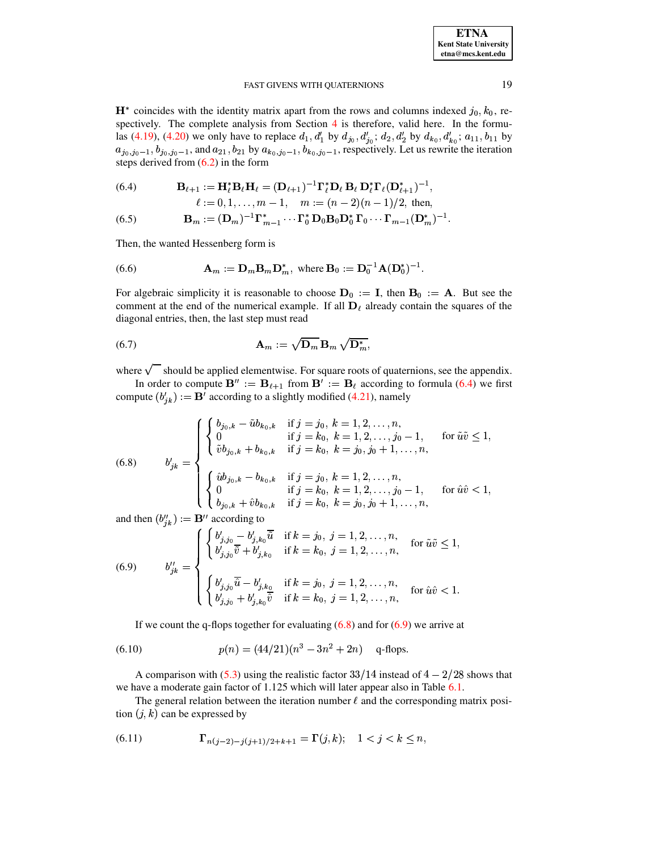$\mathbf{H}^*$  coincides with the identity matrix apart from the rows and columns indexed  $j_0, k_0$ , respectively. The complete analysis from Section 4 is therefore, valid here. In the formulas (4.19), (4.20) we only have to replace  $d_1$ ,  $d'_1$  by  $d_{j_0}$ ,  $d'_{j_0}$ ;  $d_2$ ,  $d'_2$  by  $d_{k_0}$ ,  $d'_{k_0}$ ;  $a_{11}$ ,  $b_{11}$  by  $a_{j_0,j_0-1}, b_{j_0,j_0-1}$ , and  $a_{21}, b_{21}$  by  $a_{k_0,j_0-1}, b_{k_0,j_0-1}$ , respectively. Let us rewrite the iteration steps derived from  $(6.2)$  in the form

<span id="page-18-0"></span>(6.4) 
$$
\mathbf{B}_{\ell+1} := \mathbf{H}_{\ell}^* \mathbf{B}_{\ell} \mathbf{H}_{\ell} = (\mathbf{D}_{\ell+1})^{-1} \mathbf{\Gamma}_{\ell}^* \mathbf{D}_{\ell} \mathbf{B}_{\ell} \mathbf{D}_{\ell}^* \mathbf{\Gamma}_{\ell} (\mathbf{D}_{\ell+1}^*)^{-1},
$$

$$
\ell := 0, 1, ..., m - 1, \quad m := (n - 2)(n - 1)/2
$$
, then,

(6.5) 
$$
\mathbf{B}_m := (\mathbf{D}_m)^{-1} \mathbf{\Gamma}_{m-1}^* \cdots \mathbf{\Gamma}_0^* \mathbf{D}_0 \mathbf{B}_0 \mathbf{D}_0^* \mathbf{\Gamma}_0 \cdots \mathbf{\Gamma}_{m-1} (\mathbf{D}_m^*)^{-1}
$$

Then, the wanted Hessenberg form is

<span id="page-18-2"></span>(6.6) 
$$
\mathbf{A}_m := \mathbf{D}_m \mathbf{B}_m \mathbf{D}_m^*, \text{ where } \mathbf{B}_0 := \mathbf{D}_0^{-1} \mathbf{A} (\mathbf{D}_0^*)^{-1}
$$

For algebraic simplicity it is reasonable to choose  $D_0 := I$ , then  $B_0 := A$ . But see the comment at the end of the numerical example. If all  $D_{\ell}$  already contain the squares of the diagonal entries, then, the last step must read

<span id="page-18-3"></span>(6.7) 
$$
\mathbf{A}_m := \sqrt{\mathbf{D}_m} \, \mathbf{B}_m \, \sqrt{\mathbf{D}_m^*},
$$

where  $\sqrt{\phantom{a}}$  should be applied elementwise. For square roots of quaternions, see the appendix.

In order to compute  $\mathbf{B}'' := \mathbf{B}_{\ell+1}$  from  $\mathbf{B}' := \mathbf{B}_{\ell}$  according to formula (6.4) we first compute  $(b'_{ik}) := \mathbf{B}^T$  according to a slightly modified (4.21), namely

<span id="page-18-1"></span>(6.8) 
$$
b'_{jk} = \begin{cases} \begin{cases} b_{j_0,k} - \tilde{u}b_{k_0,k} & \text{if } j = j_0, \ k = 1,2,\ldots,n, \\ 0 & \text{if } j = k_0, \ k = 1,2,\ldots,j_0 - 1, \\ \tilde{v}b_{j_0,k} + b_{k_0,k} & \text{if } j = k_0, \ k = j_0, j_0 + 1,\ldots,n, \end{cases} \\ \begin{cases} \hat{u}b_{j_0,k} - b_{k_0,k} & \text{if } j = j_0, \ k = 1,2,\ldots,n, \\ 0 & \text{if } j = k_0, \ k = 1,2,\ldots,j_0 - 1, \\ b_{j_0,k} + \hat{v}b_{k_0,k} & \text{if } j = k_0, \ k = j_0, j_0 + 1,\ldots,n, \end{cases} \text{for } \hat{u}\hat{v} < 1, \end{cases}
$$

and then  $(b''_{jk}) := \mathbf{B}''$  according to

(6.9) 
$$
b''_{jk} = \begin{cases} \begin{cases} b'_{j,j_0} - b'_{j,k_0} \tilde{u} & \text{if } k = j_0, j = 1, 2, ..., n, \\ b'_{j,j_0} \overline{v} + b'_{j,k_0} & \text{if } k = k_0, j = 1, 2, ..., n, \end{cases} & \text{for } \tilde{u}\tilde{v} \leq 1, \\ \begin{cases} b'_{j,j_0} \overline{\hat{u}} - b'_{j,k_0} & \text{if } k = j_0, j = 1, 2, ..., n, \\ b'_{j,j_0} + b'_{j,k_0} \overline{\hat{v}} & \text{if } k = k_0, j = 1, 2, ..., n, \end{cases} & \text{for } \hat{u}\hat{v} < 1. \end{cases}
$$

If we count the q-flops together for evaluating  $(6.8)$  and for  $(6.9)$  we arrive at

(6.10) 
$$
p(n) = (44/21)(n^3 - 3n^2 + 2n) \quad \text{q-flops}
$$

A comparison with (5.3) using the realistic factor  $33/14$  instead of  $4 - 2/28$  shows that we have a moderate gain factor of 1.125 which will later appear also in Table 6.1.

The general relation between the iteration number  $\ell$  and the corresponding matrix position  $(j, k)$  can be expressed by

(6.11) 
$$
\Gamma_{n(j-2)-j(j+1)/2+k+1} = \Gamma(j,k); \quad 1 < j < k \le n,
$$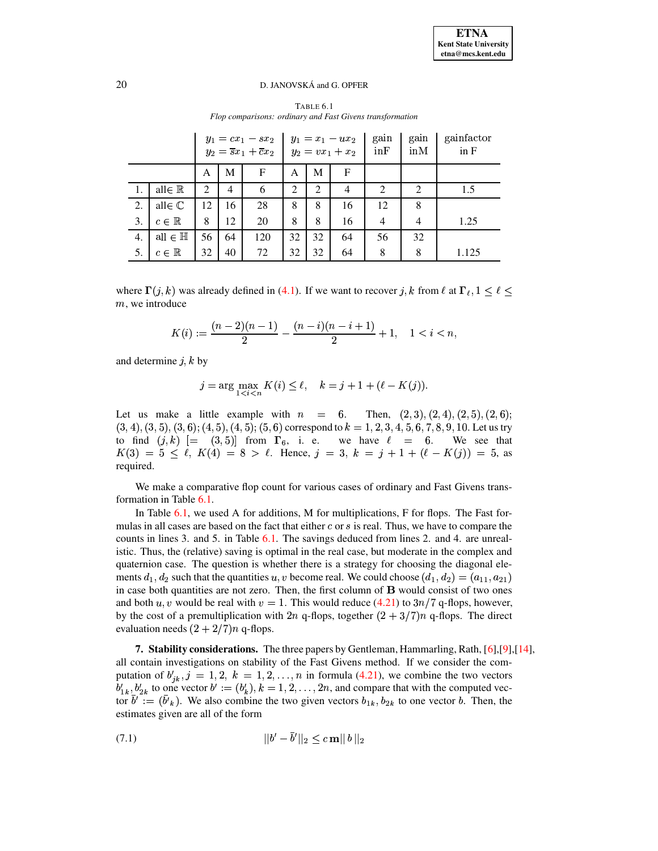TABLE 6.1 Flop comparisons: ordinary and Fast Givens transformation

<span id="page-19-0"></span>

|    |                      |    |    | $y_1 = cx_1 - sx_2$<br>$y_2 = \overline{s}x_1 + \overline{c}x_2$ |                |                | $y_1 = x_1 - u x_2$<br>$y_2 = vx_1 + x_2$ | gain<br>in <b>F</b> | gain<br>inM                 | gainfactor<br>in F |
|----|----------------------|----|----|------------------------------------------------------------------|----------------|----------------|-------------------------------------------|---------------------|-----------------------------|--------------------|
|    |                      | A  | М  | F                                                                | A              | М              | F                                         |                     |                             |                    |
|    | all $\in \mathbb{R}$ | 2  | 4  | 6                                                                | $\overline{2}$ | $\overline{2}$ | 4                                         | 2                   | $\mathcal{D}_{\mathcal{L}}$ | 1.5                |
| 2. | all $\in \mathbb{C}$ | 12 | 16 | 28                                                               | 8              | 8              | 16                                        | 12                  | 8                           |                    |
| 3. | $c \in \mathbb{R}$   | 8  | 12 | 20                                                               | 8              | 8              | 16                                        | 4                   | $\overline{4}$              | 1.25               |
| 4. | all $\in \mathbb{H}$ | 56 | 64 | 120                                                              | 32             | 32             | 64                                        | 56                  | 32                          |                    |
| 5. | $c \in \mathbb{R}$   | 32 | 40 | 72                                                               | 32             | 32             | 64                                        | 8                   | 8                           | 1.125              |

where  $\Gamma(j,k)$  was already defined in (4.1). If we want to recover j, k from  $\ell$  at  $\Gamma_{\ell}, 1 \leq \ell \leq$  $m$ , we introduce

$$
K(i):=\frac{(n-2)(n-1)}{2}-\frac{(n-i)(n-i+1)}{2}+1, \quad 1,
$$

and determine  $j, k$  by

$$
j = \arg \max_{1 < i < n} K(i) \le \ell, \quad k = j + 1 + (\ell - K(j)).
$$

Let us make a little example with  $n = 6$ . Then,  $(2, 3), (2, 4), (2, 5), (2, 6)$ ;  $(3, 4), (3, 5), (3, 6), (4, 5), (4, 5), (5, 6)$  correspond to  $k = 1, 2, 3, 4, 5, 6, 7, 8, 9, 10$ . Let us try to find  $(j,k)$   $[ = (3,5) ]$  from  $\Gamma_6$ , i. e. we have  $\ell = 6$ . We see that  $K(3) = 5 \leq \ell$ ,  $K(4) = 8 > \ell$ . Hence,  $j = 3$ ,  $k = j + 1 + (\ell - K(j)) = 5$ , as required.

We make a comparative flop count for various cases of ordinary and Fast Givens transformation in Table 6.1.

In Table 6.1, we used A for additions, M for multiplications, F for flops. The Fast formulas in all cases are based on the fact that either  $c$  or  $s$  is real. Thus, we have to compare the counts in lines 3, and 5, in Table 6.1. The savings deduced from lines 2, and 4, are unrealistic. Thus, the (relative) saving is optimal in the real case, but moderate in the complex and quaternion case. The question is whether there is a strategy for choosing the diagonal elements  $d_1, d_2$  such that the quantities u, v become real. We could choose  $(d_1, d_2) = (a_{11}, a_{21})$ in case both quantities are not zero. Then, the first column of B would consist of two ones and both u, v would be real with  $v = 1$ . This would reduce (4.21) to  $3n/7$  q-flops, however, by the cost of a premultiplication with 2n q-flops, together  $(2 + 3/7)n$  q-flops. The direct evaluation needs  $(2 + 2/7)n$  q-flops.

7. Stability considerations. The three papers by Gentleman, Hammarling, Rath, [6], [9], [14], all contain investigations on stability of the Fast Givens method. If we consider the computation of  $b'_{ik}$ ,  $j = 1, 2, k = 1, 2, ..., n$  in formula (4.21), we combine the two vectors  $b'_{1k}$ ,  $b'_{2k}$  to one vector  $b' := (b'_k)$ ,  $k = 1, 2, ..., 2n$ , and compare that with the computed vector  $b' := (b'_{k})$ . We also combine the two given vectors  $b_{1k}$ ,  $b_{2k}$  to one vector b. Then, the estimates given are all of the form

$$
||b' - \bar{b}'||_2 \le c \, \mathbf{m} ||b||_2
$$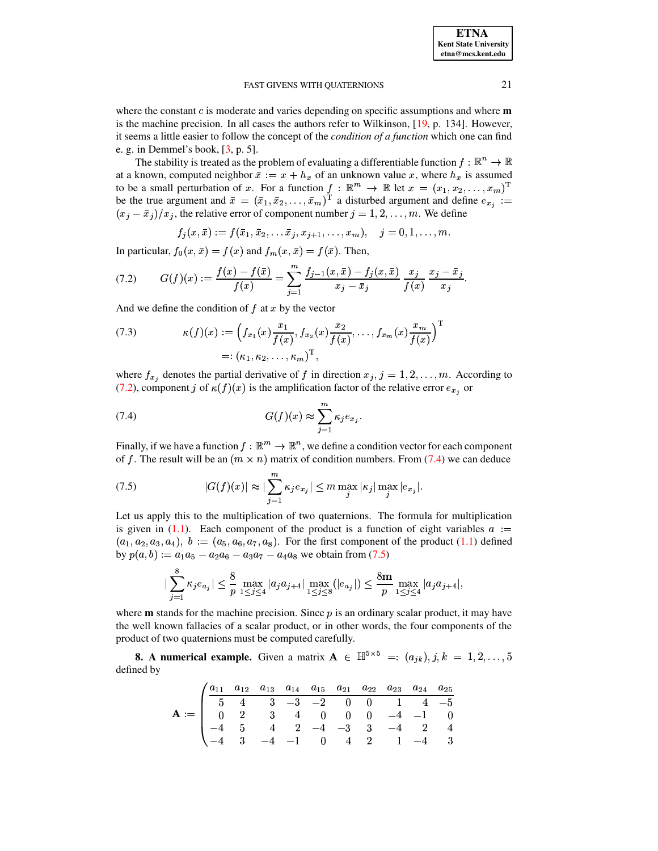where the constant  $c$  is moderate and varies depending on specific assumptions and where  $m$ is the machine precision. In all cases the authors refer to Wilkinson, [\[19,](#page-25-7) p. 134]. However, it seems a little easier to follow the concept of the *condition of a function* which one can find e. g. in Demmel's book,  $[3, p. 5]$  $[3, p. 5]$ .

The stability is treated as the problem of evaluating a differentiable function  $f : \mathbb{R}^n \to \mathbb{R}$ at a known, computed neighbor  $\bar{x} := x + h_x$  of an unknown value x, where  $h_x$  is assumed to be a small perturbation of x. For a function  $f: \mathbb{R}^m \to \mathbb{R}$  let  $x = (x_1, x_2, \dots, x_m)^\mathrm{T}$ be the true argument and  $\bar{x} = (\bar{x}_1, \bar{x}_2, \ldots, \bar{x}_m)^T$  a disturbed argument and define  $e_{x_i} :=$  $(x_j - \bar{x}_j)/x_j$ , the relative error of component number  $j = 1, 2, \ldots, m$ . We define

 $f_j (x,\bar{x}) := f(\bar{x}_1, \bar{x}_2, \ldots \bar{x}_j, x_{j+1}, \ldots, x_m), \quad j=0,1,\ldots, m.$ 

In particular,  $f_0(x, \bar{x}) = f(x)$  and  $f_m(x, \bar{x}) = f(\bar{x})$ . Then,

<span id="page-20-0"></span>(7.2) 
$$
G(f)(x) := \frac{f(x) - f(\bar{x})}{f(x)} = \sum_{j=1}^{m} \frac{f_{j-1}(x, \bar{x}) - f_j(x, \bar{x})}{x_j - \bar{x}_j} \frac{x_j}{f(x)} \frac{x_j - \bar{x}_j}{x_j}.
$$

And we define the condition of  $f$  at  $x$  by the vector

(7.3) 
$$
\kappa(f)(x) := \left(f_{x_1}(x) \frac{x_1}{f(x)}, f_{x_2}(x) \frac{x_2}{f(x)}, \dots, f_{x_m}(x) \frac{x_m}{f(x)}\right)^{\mathrm{T}} =: (\kappa_1, \kappa_2, \dots, \kappa_m)^{\mathrm{T}},
$$

where  $f_{x_i}$  denotes the partial derivative of f in direction  $x_j$ ,  $j = 1, 2, \ldots, m$ . According to [\(7.2\)](#page-20-0), component j of  $\kappa(f)(x)$  is the amplification factor of the relative error  $e_{x}$ , or

<span id="page-20-1"></span>(7.4) 
$$
G(f)(x) \approx \sum_{j=1}^{m} \kappa_j e_{x_j}.
$$

Finally, if we have a function  $f: \mathbb{R}^m \to \mathbb{R}^n,$  we define a condition vector for each component of f. The result will be an  $(m \times n)$  matrix of condition numbers. From [\(7.4\)](#page-20-1) we can deduce

<span id="page-20-2"></span>(7.5) 
$$
|G(f)(x)| \approx |\sum_{j=1}^m \kappa_j e_{x_j}| \leq m \max_j |\kappa_j| \max_j |e_{x_j}|.
$$

Let us apply this to the multiplication of two quaternions. The formula for multiplication is given in [\(1.1\)](#page-0-0). Each component of the product is a function of eight variables  $a :=$  $(a_1, a_2, a_3, a_4), b := (a_5, a_6, a_7, a_8)$ . For the first component of the product [\(1.1\)](#page-0-0) defined<br>by  $p(a, b) := a_1 a_5 - a_2 a_6 - a_3 a_7 - a_4 a_8$  we obtain from (7.5)  $(a, b) := a_1 a_5 - a_2 a_6 - a_3 a_7 - a_4 a_8$  we obtain from [\(7.5\)](#page-20-2)

$$
|\sum_{j=1}^8 \kappa_j e_{a_j}| \leq \frac{8}{p} \max_{1 \leq j \leq 4} |a_j a_{j+4}| \max_{1 \leq j \leq 8} (|e_{a_j}|) \leq \frac{8m}{p} \max_{1 \leq j \leq 4} |a_j a_{j+4}|,
$$

where **m** stands for the machine precision. Since *p* is an ordinary scalar product, it may have the well known fallacies of a scalar product, or in other words, the four components of the product of two quaternions must be computed carefully.

<span id="page-20-3"></span>**8.** A numerical example. Given a matrix  $A \in \mathbb{H}^{3 \times 5} =: (a_{jk}), j, k = 1, 2, \ldots, 5$ defined by

|                                                                                                                                                                                                                                                                                                                                         | $\int a_{11} a_{12} a_{13} a_{14} a_{15} a_{21} a_{22} a_{23} a_{24} a_{25}$ |  |  |  |  |  |
|-----------------------------------------------------------------------------------------------------------------------------------------------------------------------------------------------------------------------------------------------------------------------------------------------------------------------------------------|------------------------------------------------------------------------------|--|--|--|--|--|
| $\mathbf{A} := \begin{bmatrix} 1 & 1 & 1 & 1 & 1 \\ 1 & 1 & 1 & 1 & 1 \\ 0 & 2 & 1 & 1 & 1 \\ -4 & 5 & 4 & 2 & -4 & -3 \\ -4 & 3 & -4 & -1 & 0 & 4 & 2 \\ 1 & 1 & 1 & 1 & 1 & 1 \\ 0 & 0 & 0 & 4 & 2 & 1 & -4 \\ 0 & 0 & 0 & 4 & 2 & 1 & -4 \\ 0 & 0 & 0 & 4 & 2 & 1 & -4 \\ 0 & 0 & 0 & 4 & 2 & 1 & -4 \\ 0 & 0 & 0 & 0 & 4 & 2 & 1 \$ |                                                                              |  |  |  |  |  |
|                                                                                                                                                                                                                                                                                                                                         |                                                                              |  |  |  |  |  |
|                                                                                                                                                                                                                                                                                                                                         |                                                                              |  |  |  |  |  |
|                                                                                                                                                                                                                                                                                                                                         |                                                                              |  |  |  |  |  |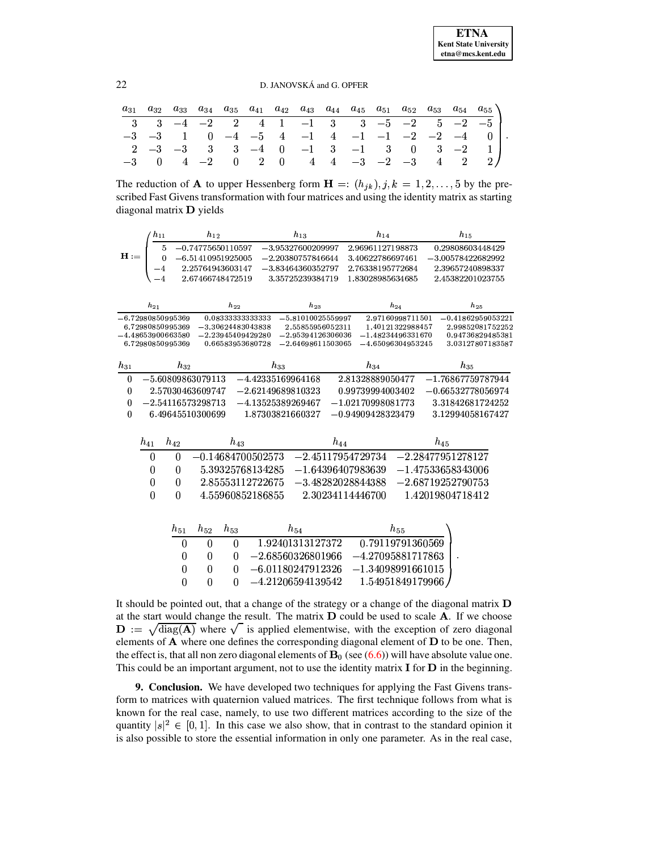# 22 D. JANOVSKÁ and G. OPFER

| $a_{31}$ | $a_{32}$    | $a_{33}$ | $a_{34}$                         | $a_{35}$ |  | $a_{41}$ $a_{42}$ $a_{43}$ $a_{44}$ | $a_{45}$ $a_{51}$ $a_{52}$                                                                                         |  | $a_{53}$ |        | $a_{54}$ $a_{55}$ |
|----------|-------------|----------|----------------------------------|----------|--|-------------------------------------|--------------------------------------------------------------------------------------------------------------------|--|----------|--------|-------------------|
|          |             |          |                                  |          |  |                                     | $3 \quad -4 \quad -2 \quad 2 \quad 4 \quad 1 \quad -1 \quad 3 \quad 3 \quad -5 \quad -2 \quad 5 \quad -2 \quad -5$ |  |          |        |                   |
|          | $-3$ $-3$ 1 |          |                                  |          |  |                                     | $0 \quad -4 \quad -5 \quad 4 \quad -1 \quad 4 \quad -1 \quad -1 \quad -2 \quad -2 \quad -4$                        |  |          |        |                   |
|          | $2 -3 -3$ 3 |          |                                  |          |  |                                     | $3 \quad -4 \quad 0 \quad -1 \quad 3 \quad -1 \quad 3 \quad 0$                                                     |  |          | $3 -2$ |                   |
|          | $\Box$ 0    |          | $4\quad -2\quad 0\quad 2\quad 0$ |          |  |                                     | $4 \quad 4 \quad -3 \quad -2 \quad -3$                                                                             |  | 4        |        |                   |

The reduction of **A** to upper Hessenberg form  $\mathbf{H} = (h_{jk})$ ,  $j, k = 1, 2, ..., 5$  by the prescribed Fast Givens transformation with four matrices and using the identity matrix as starting diagonal matrix  $\bf{D}$  yields

|                  | $h_{11}$         |                                         | $h_{12}$            |                  |                                            | $h_{13}$            |                                         | $h_{14}$ |                                         |          | $h_{15}$            |                                      |
|------------------|------------------|-----------------------------------------|---------------------|------------------|--------------------------------------------|---------------------|-----------------------------------------|----------|-----------------------------------------|----------|---------------------|--------------------------------------|
|                  |                  | 5                                       | $-0.74775650110597$ |                  |                                            | $-3.95327600209997$ |                                         |          | 2.96961127198873                        |          |                     | 0.29808603448429                     |
| $H :=$           |                  | 0                                       | $-6.51410951925005$ |                  |                                            | $-2.20380757846644$ |                                         |          | 3.40622786697461                        |          |                     | $-3.00578422682992$                  |
|                  |                  | -4                                      | 2.25764943603147    |                  |                                            | $-3.83464360352797$ |                                         |          | 2.76338195772684                        |          |                     | 2.39657240898337                     |
|                  |                  | $-4$                                    | 2.67466748472519    |                  |                                            | 3.35725239384719    |                                         |          | 1.83028985634685                        |          |                     | 2.45382201023755                     |
|                  |                  |                                         |                     |                  |                                            |                     |                                         |          |                                         |          |                     |                                      |
|                  | $h_{21}$         |                                         |                     | $h_{22}$         |                                            |                     | $h_{23}$                                |          | $h_{24}$                                |          | $h_{25}$            |                                      |
|                  |                  | $-6.72980850995369$                     |                     |                  | 0.08333333333333                           |                     | $-5.81010025559997$                     |          | 2.97160998711501                        |          |                     | $-0.41862959053221$                  |
|                  |                  | 6.72980850995369<br>$-4.48653900663580$ |                     |                  | $-3.30624483043838$<br>$-2.23945409429280$ |                     | 2.55855956052311<br>$-2.95394126306036$ |          | 1.40121322988457<br>$-1.48234496331670$ |          |                     | 2.99852081752252<br>0.94736829485381 |
|                  |                  | 6.72980850995369                        |                     |                  | 0.66583953680728                           |                     | $-2.64698611503065$                     |          | $-4.65096304953245$                     |          |                     | 3.03127807183587                     |
|                  |                  |                                         |                     |                  |                                            |                     |                                         |          |                                         |          |                     |                                      |
| $h_{31}$         |                  | $h_{32}$                                |                     |                  |                                            | $h_{33}$            |                                         | $h_{34}$ |                                         |          | $h_{35}$            |                                      |
| $\boldsymbol{0}$ |                  | $-5.60809863079113$                     |                     |                  |                                            | $-4.42335169964168$ |                                         |          | 2.81328889050477                        |          |                     | $-1.76867759787944$                  |
| $\boldsymbol{0}$ |                  | 2.57030463609747                        |                     |                  |                                            | $-2.62149689810323$ |                                         |          | 0.99739994003402                        |          |                     | $-0.66532778056974$                  |
| $\bf{0}$         |                  | $-2.54116573298713$                     |                     |                  |                                            | $-4.13525389269467$ |                                         |          | $-1.02170998081773$                     |          |                     | 3.31842681724252                     |
| $\boldsymbol{0}$ |                  | 6.49645510300699                        |                     |                  |                                            | 1.87303821660327    |                                         |          | $-0.94909428323479$                     |          |                     | 3.12994058167427                     |
|                  |                  |                                         |                     |                  |                                            |                     |                                         |          |                                         |          |                     |                                      |
|                  |                  | $h_{42}$                                |                     | $h_{43}$         |                                            |                     | $h_{44}$                                |          |                                         | $h_{45}$ |                     |                                      |
|                  | $h_{41}$         |                                         |                     |                  |                                            |                     |                                         |          |                                         |          |                     |                                      |
|                  | $\overline{0}$   | $\overline{0}$                          | $-0.14684700502573$ |                  |                                            |                     | $-2.45117954729734$                     |          |                                         |          | $-2.28477951278127$ |                                      |
|                  | $\boldsymbol{0}$ | 0                                       |                     |                  | 5.39325768134285                           |                     | $-1.64396407983639$                     |          |                                         |          | $-1.47533658343006$ |                                      |
|                  | $\boldsymbol{0}$ | 0                                       |                     |                  | 2.85553112722675                           |                     | $-3.48282028844388$                     |          |                                         |          | $-2.68719252790753$ |                                      |
|                  | $\overline{0}$   | $\theta$                                |                     |                  | 4.55960852186855                           |                     | 2.30234114446700                        |          |                                         |          | 1.42019804718412    |                                      |
|                  |                  |                                         |                     |                  |                                            |                     |                                         |          |                                         |          |                     |                                      |
|                  |                  |                                         |                     |                  |                                            |                     |                                         |          |                                         |          |                     |                                      |
|                  |                  | $h_{51}$                                | $h_{52}$            | $h_{53}$         |                                            | $h_{54}$            |                                         |          | $h_{55}$                                |          |                     |                                      |
|                  |                  | $\overline{0}$                          | $\overline{0}$      | $\boldsymbol{0}$ |                                            | 1.92401313127372    |                                         |          | 0.79119791360569                        |          |                     |                                      |
|                  |                  | $\boldsymbol{0}$                        | $\boldsymbol{0}$    | 0                |                                            | $-2.68560326801966$ |                                         |          | $-4.27095881717863$                     |          |                     |                                      |
|                  |                  | $\overline{0}$                          | $\overline{0}$      | $\Omega$         |                                            | $-6.01180247912326$ |                                         |          | $-1.34098991661015$                     |          |                     |                                      |
|                  |                  | $\Omega$                                | $\Omega$            | $\Omega$         |                                            | $-4.21206594139542$ |                                         |          | 1.54951849179966                        |          |                     |                                      |
|                  |                  |                                         |                     |                  |                                            |                     |                                         |          |                                         |          |                     |                                      |

It should be pointed out, that a change of the strategy or a change of the diagonal matrix  $$ at the start would change the result. The matrix  $\bf{D}$  could be used to scale  $\bf{A}$ . If we choose  $\mathbf{D} := \sqrt{\text{diag}(\mathbf{A})}$  where  $\sqrt{\ }$  is applied elementwise, with the exception of zero diagonal elements of  $A$  where one defines the corresponding diagonal element of  $D$  to be one. Then, the effect is, that all non zero diagonal elements of  $\mathbf{B}_0$  (see [\(6.6\)](#page-18-2)) will have absolute value one. This could be an important argument, not to use the identity matrix  $\bf{I}$  for  $\bf{D}$  in the beginning.

**9. Conclusion.** We have developed two techniques for applying the Fast Givens transform to matrices with quaternion valued matrices. The first technique follows from what is known for the real case, namely, to use two different matrices according to the size of the quantity  $|s|^2 \in [0,1]$ . In this case we also show, that in contrast to the standard opinion it is also possible to store the essential information in only one parameter. As in the real case,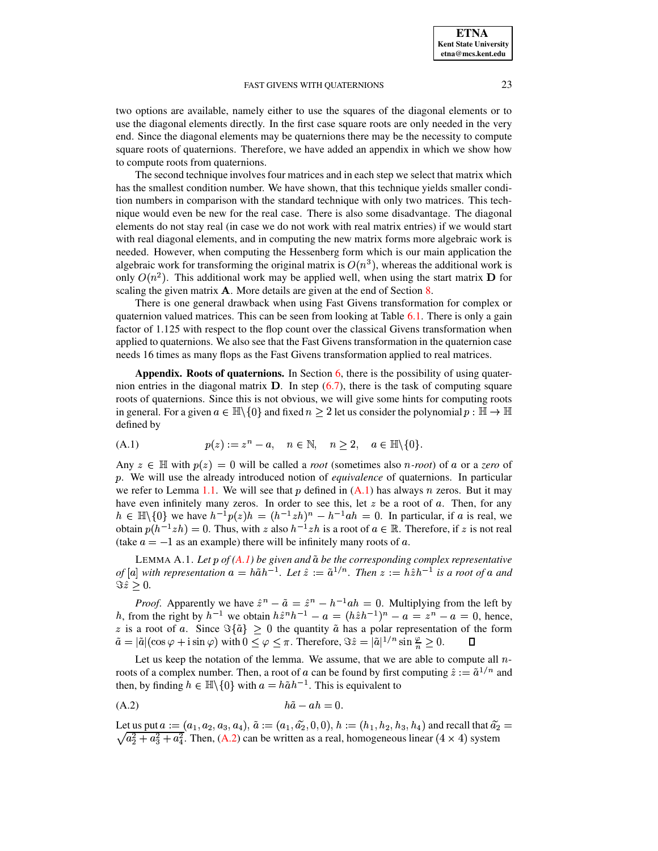two options are available, namely either to use the squares of the diagonal elements or to use the diagonal elements directly. In the first case square roots are only needed in the very end. Since the diagonal elements may be quaternions there may be the necessity to compute square roots of quaternions. Therefore, we have added an appendix in which we show how to compute roots from quaternions.

The second technique involves four matrices and in each step we select that matrix which has the smallest condition number. We have shown, that this technique yields smaller condition numbers in comparison with the standard technique with only two matrices. This technique would even be new for the real case. There is also some disadvantage. The diagonal elements do not stay real (in case we do not work with real matrix entries) if we would start with real diagonal elements, and in computing the new matrix forms more algebraic work is needed. However, when computing the Hessenberg form which is our main application the algebraic work for transforming the original matrix is  $O(n^3)$ , whereas the additional work is only  $O(n^2)$ . This additional work may be applied well, when using the start matrix **D** for scaling the given matrix  $\bf{A}$ . More details are given at the end of Section [8.](#page-20-3)

There is one general drawback when using Fast Givens transformation for complex or quaternion valued matrices. This can be seen from looking at Table [6.1.](#page-19-0) There is only a gain factor of 1.125 with respect to the flop count over the classical Givens transformation when applied to quaternions. We also see that the Fast Givens transformation in the quaternion case needs 16 times as many flops as the Fast Givens transformation applied to real matrices.

**Appendix. Roots of quaternions.** In Section [6,](#page-17-5) there is the possibility of using quaternion entries in the diagonal matrix  $D$ . In step [\(6.7\)](#page-18-3), there is the task of computing square roots of quaternions. Since this is not obvious, we will give some hints for computing roots roots of quaternions. Since this is not obvious, we will give some hints for computing roots<br>in general. For a given  $a \in \mathbb{H} \setminus \{0\}$  and fixed  $n \geq 2$  let us consider the polynomial  $p : \mathbb{H} \to \mathbb{H}$ defined by

<span id="page-22-1"></span>
$$
(A.1) \t\t\t p(z) := z^n - a, \quad n \in \mathbb{N}, \quad n \ge 2, \quad a \in \mathbb{H} \setminus \{0\}.
$$

(A.1)  $p(z) := z$ <br>Any  $z \in \mathbb{H}$  with  $p(z) = 0$  will Any  $z \in \mathbb{H}$  with  $p(z) = 0$  will be called a *root* (sometimes also *n*-*root*) of a or a *zero* of p. We will use the already introduced notion of *equivalence* of quaternions. In particular we refer to Lemma [1.1.](#page-22-0) We will see that p defined in  $(A,1)$  has always n zeros. But it may we refer to Lemma 1.1. We will see that p defined in  $(A.1)$  has always n zeros. But it may have even infinitely many zeros. In order to see this, let z be a root of a. Then, for any  $h \in \mathbb{H} \setminus \{0\}$  we have  $h^{-1}p(z)h = (h^{-1}zh)^n - h^{-1}ah = 0$ . In particular, if a is real, we obtain  $p(h^{-1}zh) = 0$ . Thus, with z also  $h^{-1}zh$  is a root of  $a \in \mathbb{R}$ . Therefore, if z is not real  $(h^{-1}zh) = 0$ . Thus, with  $z$  also  $h^{-1}zh$  is a root of  $a \in \mathbb{R}$ . Therefore, if  $z$  is not real (take  $a = -1$  as an example) there will be infinitely many roots of a.

<span id="page-22-0"></span><sup>L</sup>EMMA A.1. *Let* ¢ *of [\(A.1\)](#page-22-1) be given and be the corresponding complex representative of*  $[a]$  with representation  $a = h\tilde{a}h^{-1}$ . Let  $\hat{z} := \tilde{a}^{1/n}$ . Then  $z := h\hat{z}h^{-1}$  is a root of a and  $\Im \hat{z} > 0.$ 

*Proof.* Apparently we have  $\hat{z}^n - \tilde{a} = \hat{z}^n - h^{-1}ah = 0$ . Multiplying from the left by h, from the right by  $h^{-1}$  we obtain  $h\hat{z}^nh^{-1} - a = (h\hat{z}h^{-1})^n - a = z^n - a = 0$ , hence, z is a root of a. Since  $\Im{\{\tilde{a}\}} \ge 0$  the quantity  $\tilde{a}$  has a polar representation of the form  $\tilde{a} = |\tilde{a}|(\cos \varphi + i \sin \varphi)$  with  $0 \le \varphi \le \pi$ . Therefore,  $\Im \hat{z} = |\tilde{a}|^{1/n} \sin \frac{\varphi}{n} \ge 0$ .

Let us keep the notation of the lemma. We assume, that we are able to compute all  $n$ roots of a complex number. Then, a root of a can be found by first computing  $\hat{z} := \tilde{a}^{1/n}$  and then, by finding  $h \in \mathbb{H} \setminus \{0\}$  with  $a = h \tilde{a} h^{-1}$ . This is equivalent to

<span id="page-22-2"></span>
$$
h\tilde{a} - ah = 0.
$$

Let us put  $a := (a_1, a_2, a_3, a_4)$ ,  $\tilde{a} := (a_1, \tilde{a}_2, 0, 0)$ ,  $h := (h_1, h_2, h_3, h_4)$  and recall that  $\tilde{a}_2 = \sqrt{a_2^2 + a_3^2 + a_4^2}$ . Then, [\(A.2\)](#page-22-2) can be written as a real, homogeneous linear (4 × 4) system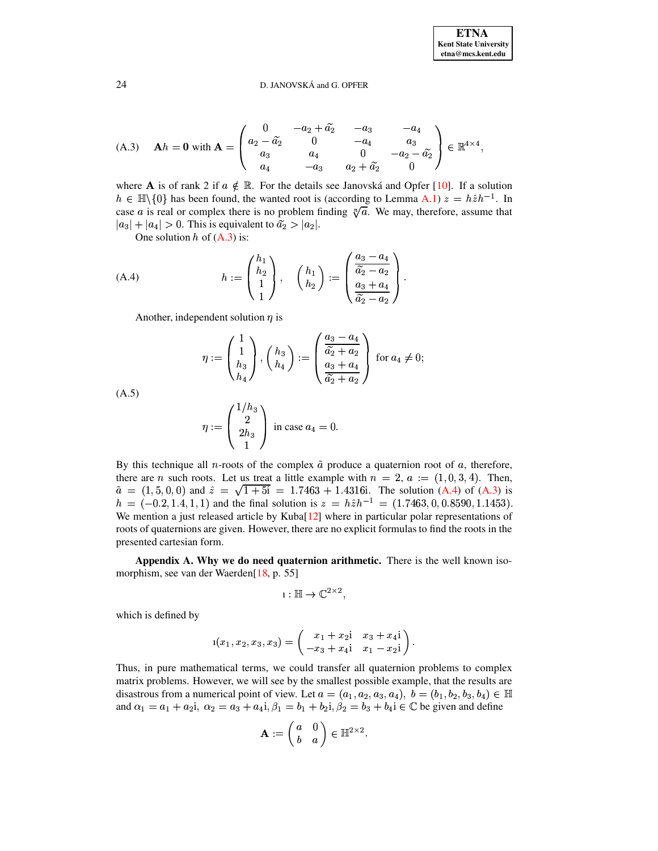<span id="page-23-0"></span>(A.3) 
$$
\mathbf{A}h = \mathbf{0}
$$
 with  $\mathbf{A} = \begin{pmatrix} 0 & -a_2 + \tilde{a_2} & -a_3 & -a_4 \\ a_2 - \tilde{a_2} & 0 & -a_4 & a_3 \\ a_3 & a_4 & 0 & -a_2 - \tilde{a_2} \\ a_4 & -a_3 & a_2 + \tilde{a_2} & 0 \end{pmatrix} \in \mathbb{R}^{4 \times 4}$ ,

where **A** is of rank 2 if  $a \notin \mathbb{R}$ . For the details see Janovská and Opfer [10]. If a solution  $h \in \mathbb{H}\backslash\{0\}$  has been found, the wanted root is (according to Lemma A.1)  $z = h\hat{z}h^{-1}$ . In case a is real or complex there is no problem finding  $\sqrt[n]{a}$ . We may, therefore, assume that  $|a_3| + |a_4| > 0$ . This is equivalent to  $\tilde{a_2} > |a_2|$ .

One solution  $h$  of  $(A.3)$  is:

<span id="page-23-1"></span>(A.4) 
$$
h := \begin{pmatrix} h_1 \\ h_2 \\ 1 \end{pmatrix}, \quad \begin{pmatrix} h_1 \\ h_2 \end{pmatrix} := \begin{pmatrix} \frac{a_3 - a_4}{\tilde{a}_2 - a_2} \\ \frac{a_3 + a_4}{\tilde{a}_2 - a_2} \end{pmatrix}.
$$

Another, independent solution  $\eta$  is

$$
\eta := \begin{pmatrix} 1 \\ 1 \\ h_3 \\ h_4 \end{pmatrix}, \begin{pmatrix} h_3 \\ h_4 \end{pmatrix} := \begin{pmatrix} \frac{a_3 - a_4}{\widetilde{a}_2 + a_2} \\ \frac{a_3 + a_4}{\widetilde{a}_2 + a_2} \end{pmatrix} \text{ for } a_4 \neq 0;
$$

 $(A.5)$ 

$$
\eta := \begin{pmatrix} 1/h_3 \\ 2h_3 \\ 1 \end{pmatrix}
$$
 in case  $a_4 = 0$ .

By this technique all *n*-roots of the complex  $\tilde{a}$  produce a quaternion root of a, therefore, there are *n* such roots. Let us treat a little example with  $n = 2$ ,  $a := (1,0,3,4)$ . Then,  $\tilde{a} = (1, 5, 0, 0)$  and  $\hat{z} = \sqrt{1 + 5i} = 1.7463 + 1.4316i$ . The solution (A.4) of (A.3) is  $h = (-0.2, 1.4, 1, 1)$  and the final solution is  $z = h\hat{z}h^{-1} = (1.7463, 0, 0.8590, 1.1453)$ . We mention a just released article by Kuba[12] where in particular polar representations of roots of quaternions are given. However, there are no explicit formulas to find the roots in the presented cartesian form.

Appendix A. Why we do need quaternion arithmetic. There is the well known isomorphism, see van der Waerden[18, p. 55]

$$
1:\mathbb{H}\to\mathbb{C}^{2\times 2},
$$

which is defined by

$$
1(x_1, x_2, x_3, x_3) = \begin{pmatrix} x_1 + x_2 i & x_3 + x_4 i \\ -x_3 + x_4 i & x_1 - x_2 i \end{pmatrix}.
$$

Thus, in pure mathematical terms, we could transfer all quaternion problems to complex matrix problems. However, we will see by the smallest possible example, that the results are disastrous from a numerical point of view. Let  $a = (a_1, a_2, a_3, a_4)$ ,  $b = (b_1, b_2, b_3, b_4) \in \mathbb{H}$ and  $\alpha_1 = a_1 + a_2 i$ ,  $\alpha_2 = a_3 + a_4 i$ ,  $\beta_1 = b_1 + b_2 i$ ,  $\beta_2 = b_3 + b_4 i \in \mathbb{C}$  be given and define

$$
\mathbf{A} := \begin{pmatrix} a & 0 \\ b & a \end{pmatrix} \in \mathbb{H}^{2 \times 2}.
$$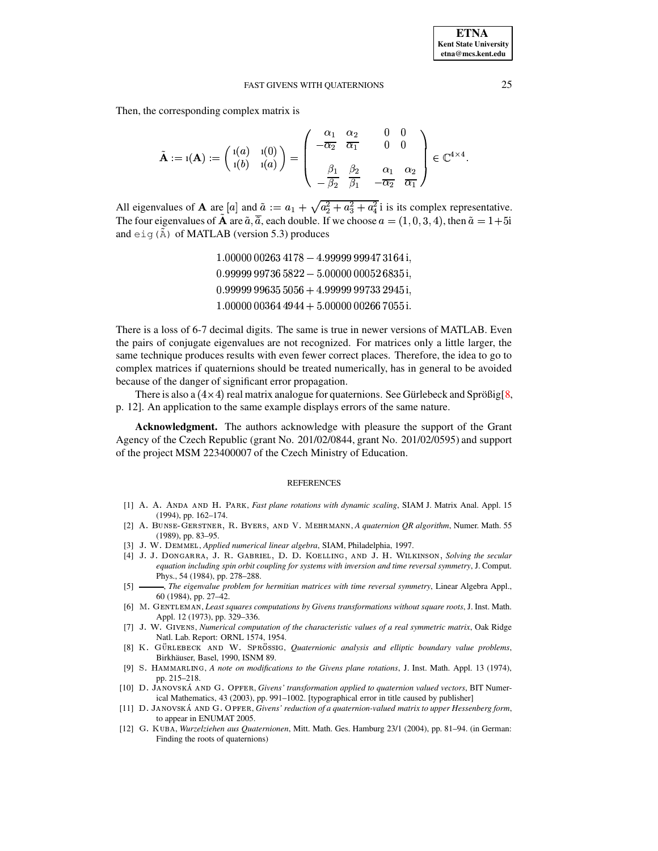Then, the corresponding complex matrix is

$$
\tilde{\mathbf{A}} := \mathbf{1}(\mathbf{A}) := \begin{pmatrix} \mathbf{1}(a) & \mathbf{1}(0) \\ \mathbf{1}(b) & \mathbf{1}(a) \end{pmatrix} = \begin{pmatrix} \frac{\alpha_1}{-\alpha_2} & \frac{\alpha_2}{\alpha_1} & 0 & 0 \\ -\frac{\beta_1}{\beta_2} & \frac{\beta_2}{\beta_1} & \frac{\alpha_1}{-\alpha_2} & \frac{\alpha_2}{\alpha_1} \end{pmatrix} \in \mathbb{C}^{4 \times 4}.
$$

All eigenvalues of **A** are  $[a]$  and  $\tilde{a} := a_1 + \sqrt{a_2^2 + a_3^2 + a_4^2}$  is its complex representative. The four eigenvalues of **A** are  $\tilde{a}$ ,  $\tilde{a}$ , each double. If we choose  $a = (1, 0, 3, 4)$ , then  $\tilde{a} = 1+5i$ and  $eig(\tilde{A})$  of MATLAB (version 5.3) produces

> $1.00000\,00263\,4178 - 4.99999\,99947\,3164\,\mathrm{i},$  $0.99999\,99736\,5822 - 5.00000\,00052\,6835\,\mathrm{i}$  ,  $0.99999\,99635\,5056 + 4.99999\,99733\,2945\,\mathrm{i}$  $1.00000\,00364\,4944 + 5.00000\,00266\,7055\,\mathrm{i}.$

There is a loss of 6-7 decimal digits. The same is true in newer versions of MATLAB. Even the pairs of conjugate eigenvalues are not recognized. For matrices only a little larger, the same technique produces results with even fewer correct places. Therefore, the idea to go to complex matrices if quaternions should be treated numerically, has in general to be avoided because of the danger of significant error propagation.

There is also a  $(4\times4)$  real matrix analogue for quaternions. See Gürlebeck and Sprößig[[8,](#page-24-10) p. 12]. An application to the same example displays errors of the same nature.

**Acknowledgment.** The authors acknowledge with pleasure the support of the Grant Agency of the Czech Republic (grant No. 201/02/0844, grant No. 201/02/0595) and support of the project MSM 223400007 of the Czech Ministry of Education.

### **REFERENCES**

- <span id="page-24-5"></span>[1] A. A. ANDA AND H. PARK, *Fast plane rotations with dynamic scaling*, SIAM J. Matrix Anal. Appl. 15 (1994), pp. 162–174.
- <span id="page-24-7"></span>[2] A. BUNSE-GERSTNER, R. BYERS, AND V. MEHRMANN, A quaternion QR algorithm, Numer. Math. 55 (1989), pp. 83–95.
- <span id="page-24-8"></span><span id="page-24-1"></span>[3] J. W. DEMMEL, *Applied numerical linear algebra*, SIAM, Philadelphia, 1997.
- [4] J. J. DONGARRA, J. R. GABRIEL, D. D. KOELLING, AND J. H. WILKINSON, Solving the secular *equation including spin orbit coupling for systems with inversion and time reversal symmetry*, J. Comput. Phys., 54 (1984), pp. 278–288.
- <span id="page-24-2"></span>[5] , *The eigenvalue problem for hermitian matrices with time reversal symmetry*, Linear Algebra Appl., 60 (1984), pp. 27–42.
- <span id="page-24-3"></span>[6] M. GENTLEMAN, Least squares computations by Givens transformations without square roots, J. Inst. Math. Appl. 12 (1973), pp. 329–336.
- [7] Ü¿Ýç¿\_Ðáäè{ÍMÁ{Ì , *Numerical computation of the characteristic values of a real symmetric matrix*, Oak Ridge Natl. Lab. Report: ORNL 1574, 1954.
- <span id="page-24-10"></span>[8] K. GÜRLEBECK AND W. SPRÖSSIG, *Quaternionic analysis and elliptic boundary value problems*, Birkhäuser, Basel, 1990, ISNM 89.
- <span id="page-24-4"></span>[9] S. HAMMARLING, *A note on modifications to the Givens plane rotations*, J. Inst. Math. Appl. 13 (1974), pp. 215–218.
- <span id="page-24-0"></span>[10] Þ׿{Ü0ÄÁeà}èeÌÎÉAñÄëÄÁ{ÃòÐ׿eóÂïtô0ÍMÈ, *Givens' transformation applied to quaternion valued vectors*, BIT Numerical Mathematics, 43 (2003), pp. 991–1002. [typographical error in title caused by publisher]
- <span id="page-24-6"></span>[11] D. JANOVSKÁ AND G. OPFER, *Givens' reduction of a quaternion-valued matrix to upper Hessenberg form*, to appear in ENUMAT 2005.
- <span id="page-24-9"></span>[12] G. KUBA, *Wurzelziehen aus Quaternionen*, Mitt. Math. Ges. Hamburg 23/1 (2004), pp. 81–94. (in German: Finding the roots of quaternions)